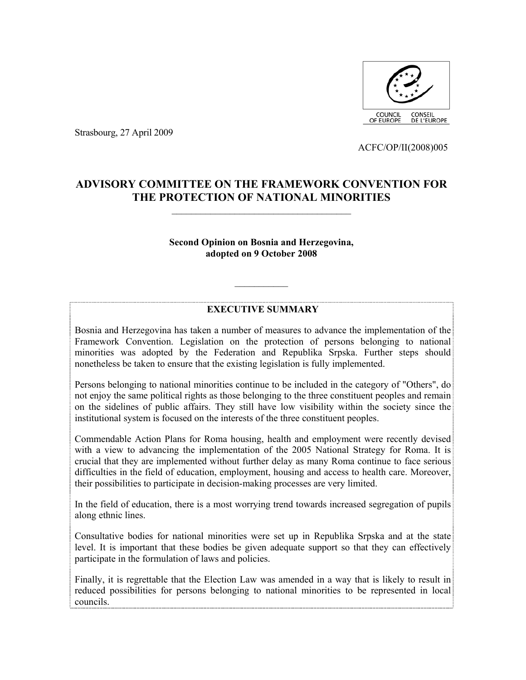

Strasbourg, 27 April 2009

ACFC/OP/II(2008)005

# **ADVISORY COMMITTEE ON THE FRAMEWORK CONVENTION FOR THE PROTECTION OF NATIONAL MINORITIES**

 $\mathcal{L}_\text{max}$ 

### **Second Opinion on Bosnia and Herzegovina, adopted on 9 October 2008**

## **EXECUTIVE SUMMARY**

 $\mathcal{L}_\text{max}$ 

Bosnia and Herzegovina has taken a number of measures to advance the implementation of the Framework Convention. Legislation on the protection of persons belonging to national minorities was adopted by the Federation and Republika Srpska. Further steps should nonetheless be taken to ensure that the existing legislation is fully implemented.

Persons belonging to national minorities continue to be included in the category of "Others", do not enjoy the same political rights as those belonging to the three constituent peoples and remain on the sidelines of public affairs. They still have low visibility within the society since the institutional system is focused on the interests of the three constituent peoples.

Commendable Action Plans for Roma housing, health and employment were recently devised with a view to advancing the implementation of the 2005 National Strategy for Roma. It is crucial that they are implemented without further delay as many Roma continue to face serious difficulties in the field of education, employment, housing and access to health care. Moreover, their possibilities to participate in decision-making processes are very limited.

In the field of education, there is a most worrying trend towards increased segregation of pupils along ethnic lines.

Consultative bodies for national minorities were set up in Republika Srpska and at the state level. It is important that these bodies be given adequate support so that they can effectively participate in the formulation of laws and policies.

Finally, it is regrettable that the Election Law was amended in a way that is likely to result in reduced possibilities for persons belonging to national minorities to be represented in local councils.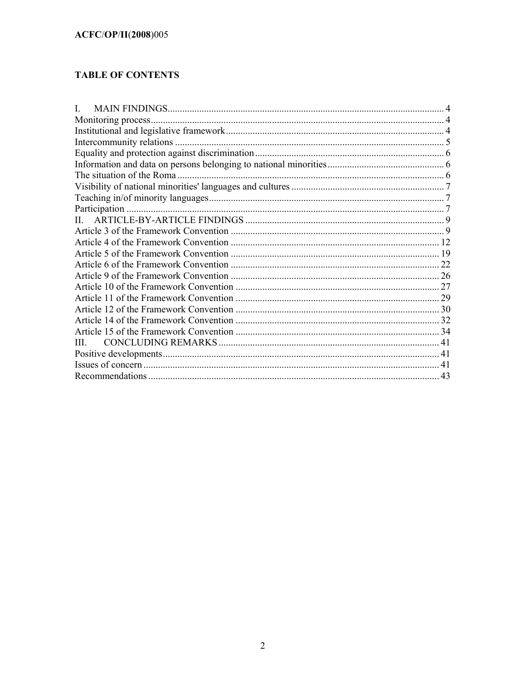# **TABLE OF CONTENTS**

| L  |    |
|----|----|
|    |    |
|    |    |
|    |    |
|    |    |
|    |    |
|    |    |
|    |    |
|    |    |
|    |    |
| П. |    |
|    |    |
|    |    |
|    |    |
|    |    |
|    |    |
|    |    |
|    |    |
|    |    |
|    |    |
|    |    |
| Ш  |    |
|    |    |
|    |    |
|    | 43 |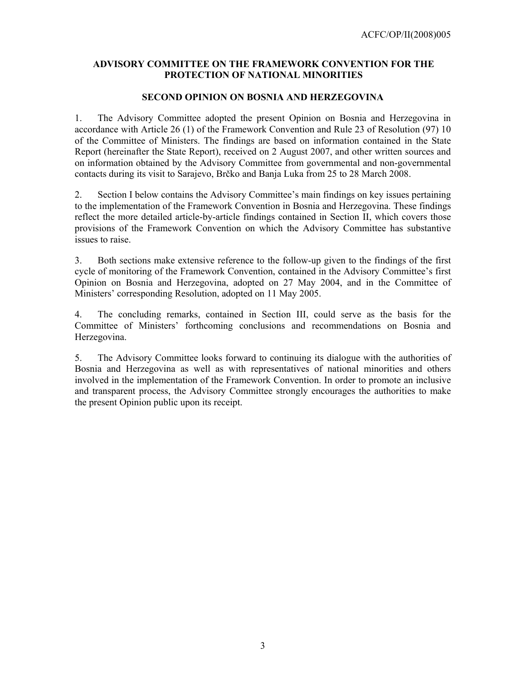## **ADVISORY COMMITTEE ON THE FRAMEWORK CONVENTION FOR THE PROTECTION OF NATIONAL MINORITIES**

### **SECOND OPINION ON BOSNIA AND HERZEGOVINA**

1. The Advisory Committee adopted the present Opinion on Bosnia and Herzegovina in accordance with Article 26 (1) of the Framework Convention and Rule 23 of Resolution (97) 10 of the Committee of Ministers. The findings are based on information contained in the State Report (hereinafter the State Report), received on 2 August 2007, and other written sources and on information obtained by the Advisory Committee from governmental and non-governmental contacts during its visit to Sarajevo, Brčko and Banja Luka from 25 to 28 March 2008.

2. Section I below contains the Advisory Committee's main findings on key issues pertaining to the implementation of the Framework Convention in Bosnia and Herzegovina. These findings reflect the more detailed article-by-article findings contained in Section II, which covers those provisions of the Framework Convention on which the Advisory Committee has substantive issues to raise.

3. Both sections make extensive reference to the follow-up given to the findings of the first cycle of monitoring of the Framework Convention, contained in the Advisory Committee's first Opinion on Bosnia and Herzegovina, adopted on 27 May 2004, and in the Committee of Ministers' corresponding Resolution, adopted on 11 May 2005.

4. The concluding remarks, contained in Section III, could serve as the basis for the Committee of Ministers' forthcoming conclusions and recommendations on Bosnia and Herzegovina.

5. The Advisory Committee looks forward to continuing its dialogue with the authorities of Bosnia and Herzegovina as well as with representatives of national minorities and others involved in the implementation of the Framework Convention. In order to promote an inclusive and transparent process, the Advisory Committee strongly encourages the authorities to make the present Opinion public upon its receipt.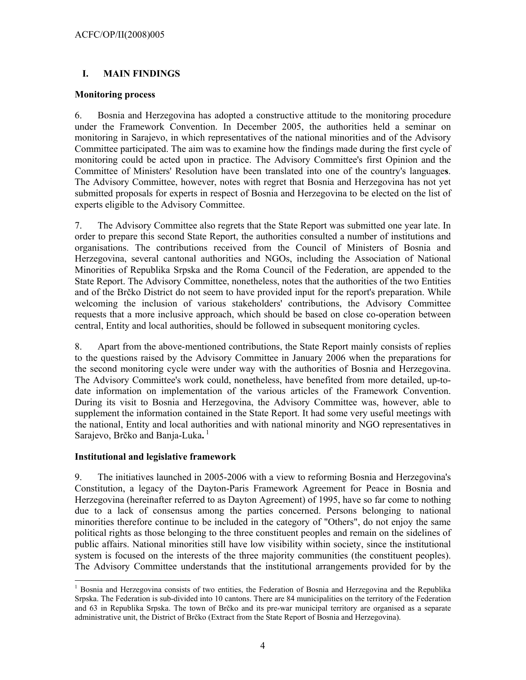# **I. MAIN FINDINGS**

### **Monitoring process**

6. Bosnia and Herzegovina has adopted a constructive attitude to the monitoring procedure under the Framework Convention. In December 2005, the authorities held a seminar on monitoring in Sarajevo, in which representatives of the national minorities and of the Advisory Committee participated. The aim was to examine how the findings made during the first cycle of monitoring could be acted upon in practice. The Advisory Committee's first Opinion and the Committee of Ministers' Resolution have been translated into one of the country's language**s**. The Advisory Committee, however, notes with regret that Bosnia and Herzegovina has not yet submitted proposals for experts in respect of Bosnia and Herzegovina to be elected on the list of experts eligible to the Advisory Committee.

7. The Advisory Committee also regrets that the State Report was submitted one year late. In order to prepare this second State Report, the authorities consulted a number of institutions and organisations. The contributions received from the Council of Ministers of Bosnia and Herzegovina, several cantonal authorities and NGOs, including the Association of National Minorities of Republika Srpska and the Roma Council of the Federation, are appended to the State Report. The Advisory Committee, nonetheless, notes that the authorities of the two Entities and of the Brčko District do not seem to have provided input for the report's preparation. While welcoming the inclusion of various stakeholders' contributions, the Advisory Committee requests that a more inclusive approach, which should be based on close co-operation between central, Entity and local authorities, should be followed in subsequent monitoring cycles.

8. Apart from the above-mentioned contributions, the State Report mainly consists of replies to the questions raised by the Advisory Committee in January 2006 when the preparations for the second monitoring cycle were under way with the authorities of Bosnia and Herzegovina. The Advisory Committee's work could, nonetheless, have benefited from more detailed, up-todate information on implementation of the various articles of the Framework Convention. During its visit to Bosnia and Herzegovina, the Advisory Committee was, however, able to supplement the information contained in the State Report. It had some very useful meetings with the national, Entity and local authorities and with national minority and NGO representatives in Sarajevo, Brčko and Banja-Luka.<sup>1</sup>

## **Institutional and legislative framework**

9. The initiatives launched in 2005-2006 with a view to reforming Bosnia and Herzegovina's Constitution, a legacy of the Dayton-Paris Framework Agreement for Peace in Bosnia and Herzegovina (hereinafter referred to as Dayton Agreement) of 1995, have so far come to nothing due to a lack of consensus among the parties concerned. Persons belonging to national minorities therefore continue to be included in the category of "Others", do not enjoy the same political rights as those belonging to the three constituent peoples and remain on the sidelines of public affairs. National minorities still have low visibility within society, since the institutional system is focused on the interests of the three majority communities (the constituent peoples). The Advisory Committee understands that the institutional arrangements provided for by the

l 1 Bosnia and Herzegovina consists of two entities, the Federation of Bosnia and Herzegovina and the Republika Srpska. The Federation is sub-divided into 10 cantons. There are 84 municipalities on the territory of the Federation and 63 in Republika Srpska. The town of Brčko and its pre-war municipal territory are organised as a separate administrative unit, the District of Brčko (Extract from the State Report of Bosnia and Herzegovina).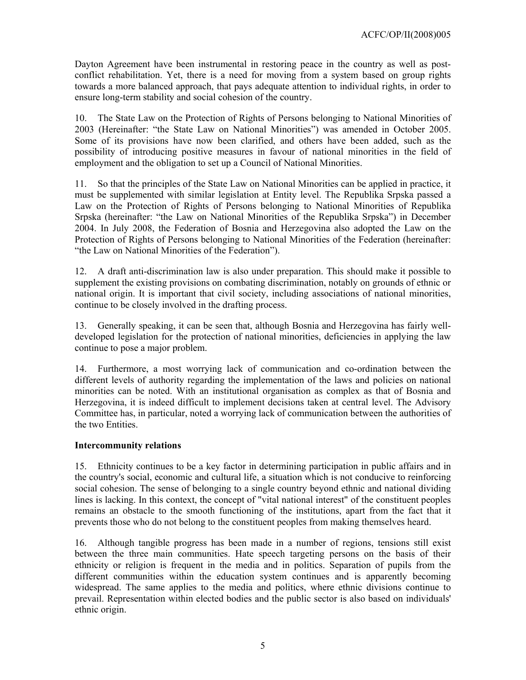Dayton Agreement have been instrumental in restoring peace in the country as well as postconflict rehabilitation. Yet, there is a need for moving from a system based on group rights towards a more balanced approach, that pays adequate attention to individual rights, in order to ensure long-term stability and social cohesion of the country.

10. The State Law on the Protection of Rights of Persons belonging to National Minorities of 2003 (Hereinafter: "the State Law on National Minorities") was amended in October 2005. Some of its provisions have now been clarified, and others have been added, such as the possibility of introducing positive measures in favour of national minorities in the field of employment and the obligation to set up a Council of National Minorities.

11. So that the principles of the State Law on National Minorities can be applied in practice, it must be supplemented with similar legislation at Entity level. The Republika Srpska passed a Law on the Protection of Rights of Persons belonging to National Minorities of Republika Srpska (hereinafter: "the Law on National Minorities of the Republika Srpska") in December 2004. In July 2008, the Federation of Bosnia and Herzegovina also adopted the Law on the Protection of Rights of Persons belonging to National Minorities of the Federation (hereinafter: "the Law on National Minorities of the Federation").

12. A draft anti-discrimination law is also under preparation. This should make it possible to supplement the existing provisions on combating discrimination, notably on grounds of ethnic or national origin. It is important that civil society, including associations of national minorities, continue to be closely involved in the drafting process.

13. Generally speaking, it can be seen that, although Bosnia and Herzegovina has fairly welldeveloped legislation for the protection of national minorities, deficiencies in applying the law continue to pose a major problem.

14. Furthermore, a most worrying lack of communication and co-ordination between the different levels of authority regarding the implementation of the laws and policies on national minorities can be noted. With an institutional organisation as complex as that of Bosnia and Herzegovina, it is indeed difficult to implement decisions taken at central level. The Advisory Committee has, in particular, noted a worrying lack of communication between the authorities of the two Entities.

## **Intercommunity relations**

15. Ethnicity continues to be a key factor in determining participation in public affairs and in the country's social, economic and cultural life, a situation which is not conducive to reinforcing social cohesion. The sense of belonging to a single country beyond ethnic and national dividing lines is lacking. In this context, the concept of "vital national interest" of the constituent peoples remains an obstacle to the smooth functioning of the institutions, apart from the fact that it prevents those who do not belong to the constituent peoples from making themselves heard.

16. Although tangible progress has been made in a number of regions, tensions still exist between the three main communities. Hate speech targeting persons on the basis of their ethnicity or religion is frequent in the media and in politics. Separation of pupils from the different communities within the education system continues and is apparently becoming widespread. The same applies to the media and politics, where ethnic divisions continue to prevail. Representation within elected bodies and the public sector is also based on individuals' ethnic origin.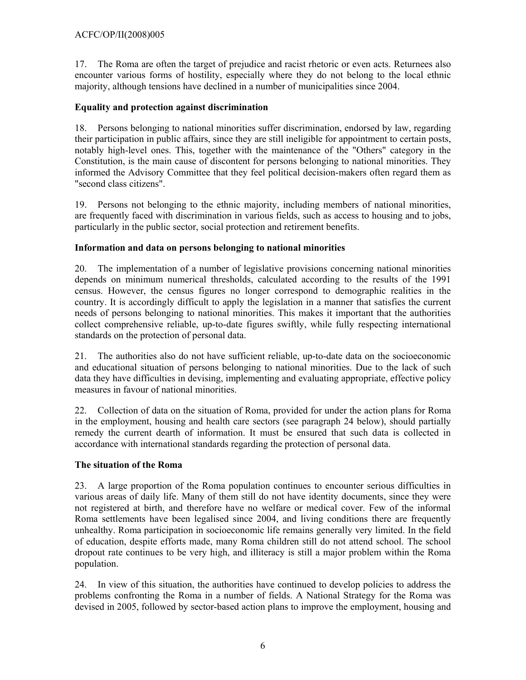## ACFC/OP/II(2008)005

17. The Roma are often the target of prejudice and racist rhetoric or even acts. Returnees also encounter various forms of hostility, especially where they do not belong to the local ethnic majority, although tensions have declined in a number of municipalities since 2004.

## **Equality and protection against discrimination**

18. Persons belonging to national minorities suffer discrimination, endorsed by law, regarding their participation in public affairs, since they are still ineligible for appointment to certain posts, notably high-level ones. This, together with the maintenance of the "Others" category in the Constitution, is the main cause of discontent for persons belonging to national minorities. They informed the Advisory Committee that they feel political decision-makers often regard them as "second class citizens".

19. Persons not belonging to the ethnic majority, including members of national minorities, are frequently faced with discrimination in various fields, such as access to housing and to jobs, particularly in the public sector, social protection and retirement benefits.

## **Information and data on persons belonging to national minorities**

20. The implementation of a number of legislative provisions concerning national minorities depends on minimum numerical thresholds, calculated according to the results of the 1991 census. However, the census figures no longer correspond to demographic realities in the country. It is accordingly difficult to apply the legislation in a manner that satisfies the current needs of persons belonging to national minorities. This makes it important that the authorities collect comprehensive reliable, up-to-date figures swiftly, while fully respecting international standards on the protection of personal data.

21. The authorities also do not have sufficient reliable, up-to-date data on the socioeconomic and educational situation of persons belonging to national minorities. Due to the lack of such data they have difficulties in devising, implementing and evaluating appropriate, effective policy measures in favour of national minorities.

22. Collection of data on the situation of Roma, provided for under the action plans for Roma in the employment, housing and health care sectors (see paragraph 24 below), should partially remedy the current dearth of information. It must be ensured that such data is collected in accordance with international standards regarding the protection of personal data.

## **The situation of the Roma**

23. A large proportion of the Roma population continues to encounter serious difficulties in various areas of daily life. Many of them still do not have identity documents, since they were not registered at birth, and therefore have no welfare or medical cover. Few of the informal Roma settlements have been legalised since 2004, and living conditions there are frequently unhealthy. Roma participation in socioeconomic life remains generally very limited. In the field of education, despite efforts made, many Roma children still do not attend school. The school dropout rate continues to be very high, and illiteracy is still a major problem within the Roma population.

24. In view of this situation, the authorities have continued to develop policies to address the problems confronting the Roma in a number of fields. A National Strategy for the Roma was devised in 2005, followed by sector-based action plans to improve the employment, housing and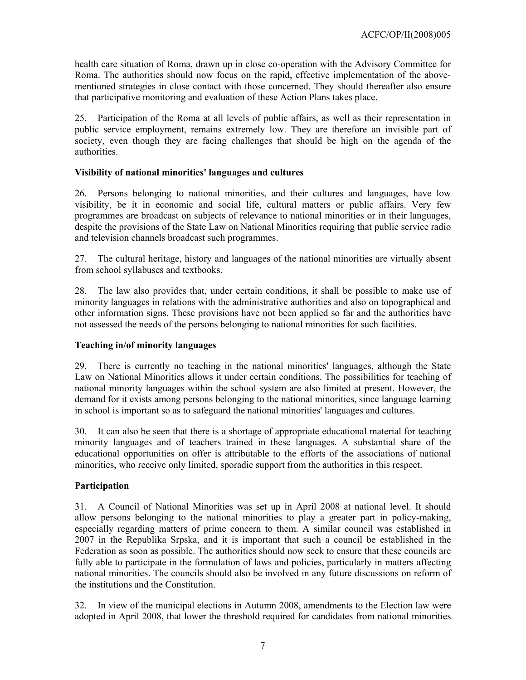health care situation of Roma, drawn up in close co-operation with the Advisory Committee for Roma. The authorities should now focus on the rapid, effective implementation of the abovementioned strategies in close contact with those concerned. They should thereafter also ensure that participative monitoring and evaluation of these Action Plans takes place.

25. Participation of the Roma at all levels of public affairs, as well as their representation in public service employment, remains extremely low. They are therefore an invisible part of society, even though they are facing challenges that should be high on the agenda of the authorities.

## **Visibility of national minorities' languages and cultures**

26. Persons belonging to national minorities, and their cultures and languages, have low visibility, be it in economic and social life, cultural matters or public affairs. Very few programmes are broadcast on subjects of relevance to national minorities or in their languages, despite the provisions of the State Law on National Minorities requiring that public service radio and television channels broadcast such programmes.

27. The cultural heritage, history and languages of the national minorities are virtually absent from school syllabuses and textbooks.

28. The law also provides that, under certain conditions, it shall be possible to make use of minority languages in relations with the administrative authorities and also on topographical and other information signs. These provisions have not been applied so far and the authorities have not assessed the needs of the persons belonging to national minorities for such facilities.

## **Teaching in/of minority languages**

29. There is currently no teaching in the national minorities' languages, although the State Law on National Minorities allows it under certain conditions. The possibilities for teaching of national minority languages within the school system are also limited at present. However, the demand for it exists among persons belonging to the national minorities, since language learning in school is important so as to safeguard the national minorities' languages and cultures.

30. It can also be seen that there is a shortage of appropriate educational material for teaching minority languages and of teachers trained in these languages. A substantial share of the educational opportunities on offer is attributable to the efforts of the associations of national minorities, who receive only limited, sporadic support from the authorities in this respect.

# **Participation**

31. A Council of National Minorities was set up in April 2008 at national level. It should allow persons belonging to the national minorities to play a greater part in policy-making, especially regarding matters of prime concern to them. A similar council was established in 2007 in the Republika Srpska, and it is important that such a council be established in the Federation as soon as possible. The authorities should now seek to ensure that these councils are fully able to participate in the formulation of laws and policies, particularly in matters affecting national minorities. The councils should also be involved in any future discussions on reform of the institutions and the Constitution.

32. In view of the municipal elections in Autumn 2008, amendments to the Election law were adopted in April 2008, that lower the threshold required for candidates from national minorities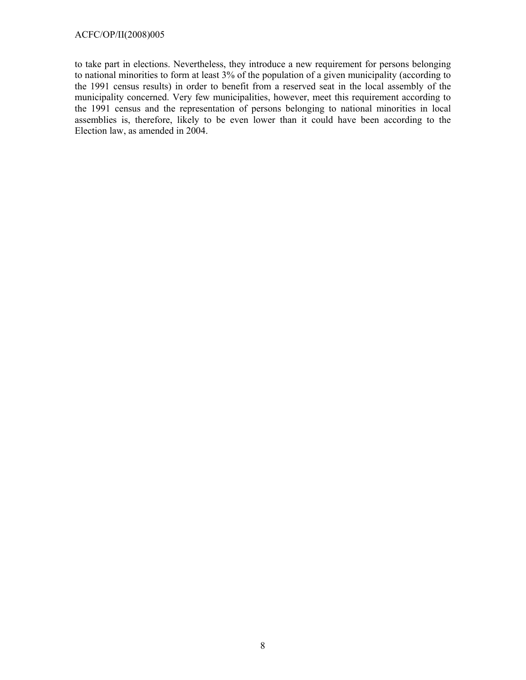### ACFC/OP/II(2008)005

to take part in elections. Nevertheless, they introduce a new requirement for persons belonging to national minorities to form at least 3% of the population of a given municipality (according to the 1991 census results) in order to benefit from a reserved seat in the local assembly of the municipality concerned. Very few municipalities, however, meet this requirement according to the 1991 census and the representation of persons belonging to national minorities in local assemblies is, therefore, likely to be even lower than it could have been according to the Election law, as amended in 2004.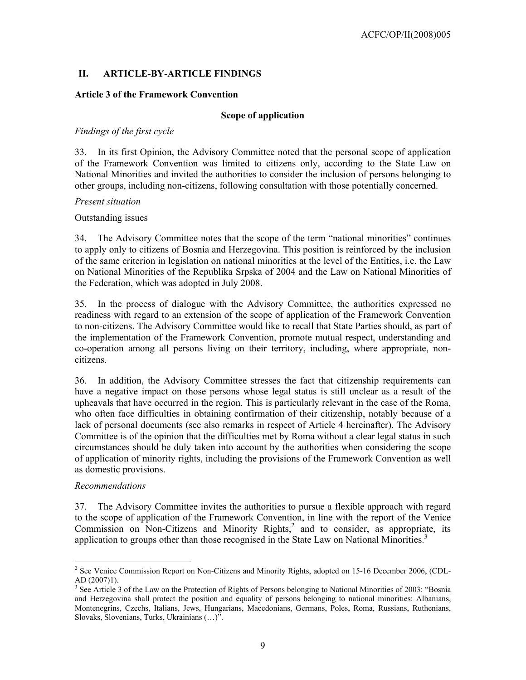# **II. ARTICLE-BY-ARTICLE FINDINGS**

### **Article 3 of the Framework Convention**

### **Scope of application**

### *Findings of the first cycle*

33. In its first Opinion, the Advisory Committee noted that the personal scope of application of the Framework Convention was limited to citizens only, according to the State Law on National Minorities and invited the authorities to consider the inclusion of persons belonging to other groups, including non-citizens, following consultation with those potentially concerned.

#### *Present situation*

Outstanding issues

34. The Advisory Committee notes that the scope of the term "national minorities" continues to apply only to citizens of Bosnia and Herzegovina. This position is reinforced by the inclusion of the same criterion in legislation on national minorities at the level of the Entities, i.e. the Law on National Minorities of the Republika Srpska of 2004 and the Law on National Minorities of the Federation, which was adopted in July 2008.

35. In the process of dialogue with the Advisory Committee, the authorities expressed no readiness with regard to an extension of the scope of application of the Framework Convention to non-citizens. The Advisory Committee would like to recall that State Parties should, as part of the implementation of the Framework Convention, promote mutual respect, understanding and co-operation among all persons living on their territory, including, where appropriate, noncitizens.

36. In addition, the Advisory Committee stresses the fact that citizenship requirements can have a negative impact on those persons whose legal status is still unclear as a result of the upheavals that have occurred in the region. This is particularly relevant in the case of the Roma, who often face difficulties in obtaining confirmation of their citizenship, notably because of a lack of personal documents (see also remarks in respect of Article 4 hereinafter). The Advisory Committee is of the opinion that the difficulties met by Roma without a clear legal status in such circumstances should be duly taken into account by the authorities when considering the scope of application of minority rights, including the provisions of the Framework Convention as well as domestic provisions.

#### *Recommendations*

l

37. The Advisory Committee invites the authorities to pursue a flexible approach with regard to the scope of application of the Framework Convention, in line with the report of the Venice Commission on Non-Citizens and Minority Rights, $^2$  and to consider, as appropriate, its application to groups other than those recognised in the State Law on National Minorities.<sup>3</sup>

 $2^2$  See Venice Commission Report on Non-Citizens and Minority Rights, adopted on 15-16 December 2006, (CDL-AD (2007)1).

<sup>&</sup>lt;sup>3</sup> See Article 3 of the Law on the Protection of Rights of Persons belonging to National Minorities of 2003: "Bosnia and Herzegovina shall protect the position and equality of persons belonging to national minorities: Albanians, Montenegrins, Czechs, Italians, Jews, Hungarians, Macedonians, Germans, Poles, Roma, Russians, Ruthenians, Slovaks, Slovenians, Turks, Ukrainians (…)".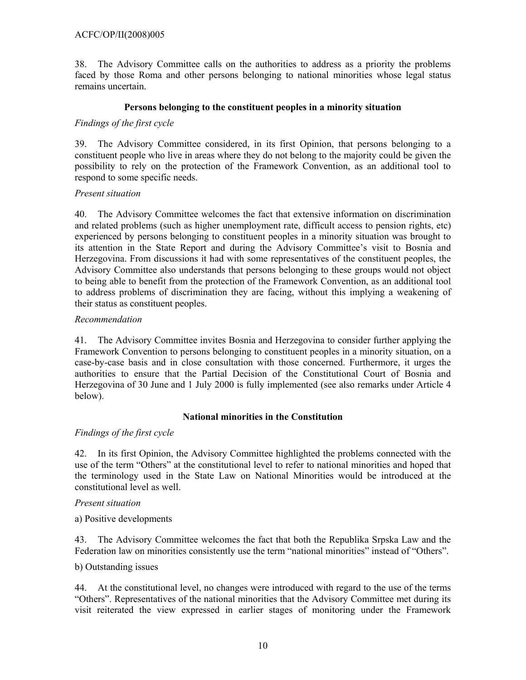## ACFC/OP/II(2008)005

38. The Advisory Committee calls on the authorities to address as a priority the problems faced by those Roma and other persons belonging to national minorities whose legal status remains uncertain.

### **Persons belonging to the constituent peoples in a minority situation**

### *Findings of the first cycle*

39. The Advisory Committee considered, in its first Opinion, that persons belonging to a constituent people who live in areas where they do not belong to the majority could be given the possibility to rely on the protection of the Framework Convention, as an additional tool to respond to some specific needs.

#### *Present situation*

40. The Advisory Committee welcomes the fact that extensive information on discrimination and related problems (such as higher unemployment rate, difficult access to pension rights, etc) experienced by persons belonging to constituent peoples in a minority situation was brought to its attention in the State Report and during the Advisory Committee's visit to Bosnia and Herzegovina. From discussions it had with some representatives of the constituent peoples, the Advisory Committee also understands that persons belonging to these groups would not object to being able to benefit from the protection of the Framework Convention, as an additional tool to address problems of discrimination they are facing, without this implying a weakening of their status as constituent peoples.

### *Recommendation*

41. The Advisory Committee invites Bosnia and Herzegovina to consider further applying the Framework Convention to persons belonging to constituent peoples in a minority situation, on a case-by-case basis and in close consultation with those concerned. Furthermore, it urges the authorities to ensure that the Partial Decision of the Constitutional Court of Bosnia and Herzegovina of 30 June and 1 July 2000 is fully implemented (see also remarks under Article 4 below).

#### **National minorities in the Constitution**

## *Findings of the first cycle*

42. In its first Opinion, the Advisory Committee highlighted the problems connected with the use of the term "Others" at the constitutional level to refer to national minorities and hoped that the terminology used in the State Law on National Minorities would be introduced at the constitutional level as well.

#### *Present situation*

a) Positive developments

43. The Advisory Committee welcomes the fact that both the Republika Srpska Law and the Federation law on minorities consistently use the term "national minorities" instead of "Others".

### b) Outstanding issues

44. At the constitutional level, no changes were introduced with regard to the use of the terms "Others". Representatives of the national minorities that the Advisory Committee met during its visit reiterated the view expressed in earlier stages of monitoring under the Framework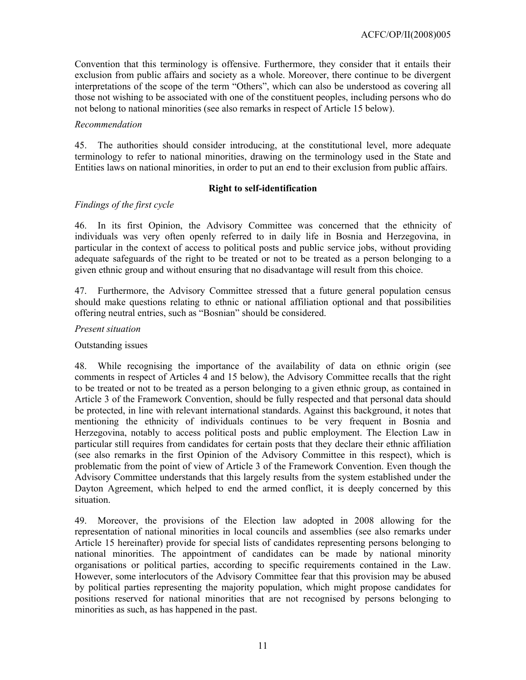Convention that this terminology is offensive. Furthermore, they consider that it entails their exclusion from public affairs and society as a whole. Moreover, there continue to be divergent interpretations of the scope of the term "Others", which can also be understood as covering all those not wishing to be associated with one of the constituent peoples, including persons who do not belong to national minorities (see also remarks in respect of Article 15 below).

#### *Recommendation*

45. The authorities should consider introducing, at the constitutional level, more adequate terminology to refer to national minorities, drawing on the terminology used in the State and Entities laws on national minorities, in order to put an end to their exclusion from public affairs.

### **Right to self-identification**

## *Findings of the first cycle*

46. In its first Opinion, the Advisory Committee was concerned that the ethnicity of individuals was very often openly referred to in daily life in Bosnia and Herzegovina, in particular in the context of access to political posts and public service jobs, without providing adequate safeguards of the right to be treated or not to be treated as a person belonging to a given ethnic group and without ensuring that no disadvantage will result from this choice.

47. Furthermore, the Advisory Committee stressed that a future general population census should make questions relating to ethnic or national affiliation optional and that possibilities offering neutral entries, such as "Bosnian" should be considered.

### *Present situation*

### Outstanding issues

48. While recognising the importance of the availability of data on ethnic origin (see comments in respect of Articles 4 and 15 below), the Advisory Committee recalls that the right to be treated or not to be treated as a person belonging to a given ethnic group, as contained in Article 3 of the Framework Convention, should be fully respected and that personal data should be protected, in line with relevant international standards. Against this background, it notes that mentioning the ethnicity of individuals continues to be very frequent in Bosnia and Herzegovina, notably to access political posts and public employment. The Election Law in particular still requires from candidates for certain posts that they declare their ethnic affiliation (see also remarks in the first Opinion of the Advisory Committee in this respect), which is problematic from the point of view of Article 3 of the Framework Convention. Even though the Advisory Committee understands that this largely results from the system established under the Dayton Agreement, which helped to end the armed conflict, it is deeply concerned by this situation.

49. Moreover, the provisions of the Election law adopted in 2008 allowing for the representation of national minorities in local councils and assemblies (see also remarks under Article 15 hereinafter) provide for special lists of candidates representing persons belonging to national minorities. The appointment of candidates can be made by national minority organisations or political parties, according to specific requirements contained in the Law. However, some interlocutors of the Advisory Committee fear that this provision may be abused by political parties representing the majority population, which might propose candidates for positions reserved for national minorities that are not recognised by persons belonging to minorities as such, as has happened in the past.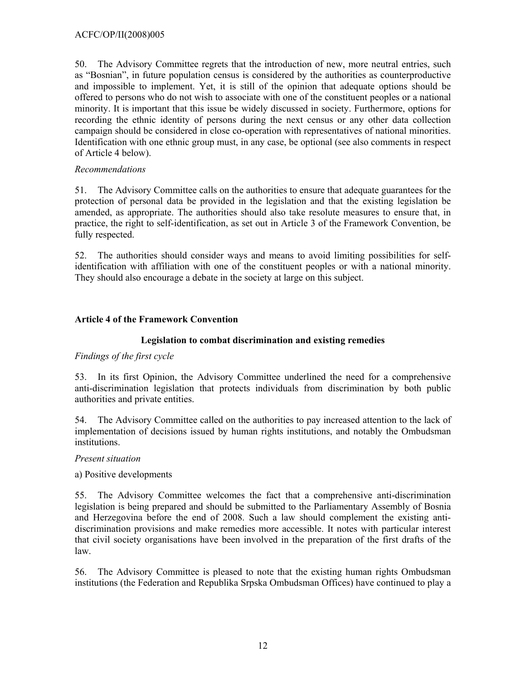50. The Advisory Committee regrets that the introduction of new, more neutral entries, such as "Bosnian", in future population census is considered by the authorities as counterproductive and impossible to implement. Yet, it is still of the opinion that adequate options should be offered to persons who do not wish to associate with one of the constituent peoples or a national minority. It is important that this issue be widely discussed in society. Furthermore, options for recording the ethnic identity of persons during the next census or any other data collection campaign should be considered in close co-operation with representatives of national minorities. Identification with one ethnic group must, in any case, be optional (see also comments in respect of Article 4 below).

### *Recommendations*

51. The Advisory Committee calls on the authorities to ensure that adequate guarantees for the protection of personal data be provided in the legislation and that the existing legislation be amended, as appropriate. The authorities should also take resolute measures to ensure that, in practice, the right to self-identification, as set out in Article 3 of the Framework Convention, be fully respected.

52. The authorities should consider ways and means to avoid limiting possibilities for selfidentification with affiliation with one of the constituent peoples or with a national minority. They should also encourage a debate in the society at large on this subject.

## **Article 4 of the Framework Convention**

### **Legislation to combat discrimination and existing remedies**

#### *Findings of the first cycle*

53. In its first Opinion, the Advisory Committee underlined the need for a comprehensive anti-discrimination legislation that protects individuals from discrimination by both public authorities and private entities.

54. The Advisory Committee called on the authorities to pay increased attention to the lack of implementation of decisions issued by human rights institutions, and notably the Ombudsman institutions.

*Present situation* 

a) Positive developments

55. The Advisory Committee welcomes the fact that a comprehensive anti-discrimination legislation is being prepared and should be submitted to the Parliamentary Assembly of Bosnia and Herzegovina before the end of 2008. Such a law should complement the existing antidiscrimination provisions and make remedies more accessible. It notes with particular interest that civil society organisations have been involved in the preparation of the first drafts of the law.

56. The Advisory Committee is pleased to note that the existing human rights Ombudsman institutions (the Federation and Republika Srpska Ombudsman Offices) have continued to play a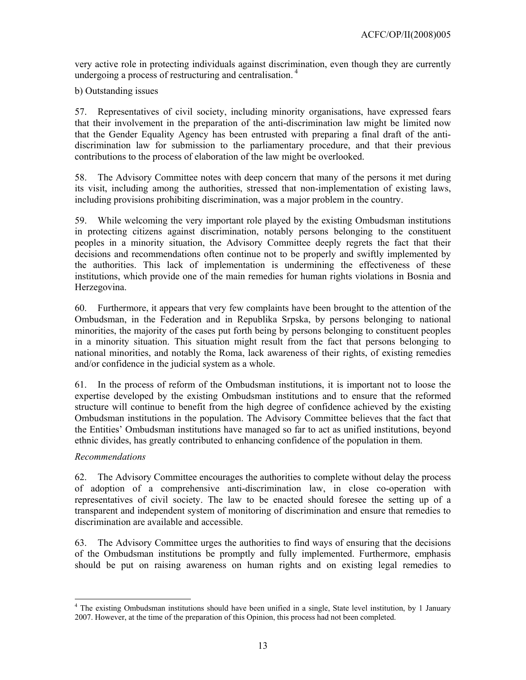very active role in protecting individuals against discrimination, even though they are currently undergoing a process of restructuring and centralisation.<sup>4</sup>

b) Outstanding issues

57. Representatives of civil society, including minority organisations, have expressed fears that their involvement in the preparation of the anti-discrimination law might be limited now that the Gender Equality Agency has been entrusted with preparing a final draft of the antidiscrimination law for submission to the parliamentary procedure, and that their previous contributions to the process of elaboration of the law might be overlooked.

58. The Advisory Committee notes with deep concern that many of the persons it met during its visit, including among the authorities, stressed that non-implementation of existing laws, including provisions prohibiting discrimination, was a major problem in the country.

59. While welcoming the very important role played by the existing Ombudsman institutions in protecting citizens against discrimination, notably persons belonging to the constituent peoples in a minority situation, the Advisory Committee deeply regrets the fact that their decisions and recommendations often continue not to be properly and swiftly implemented by the authorities. This lack of implementation is undermining the effectiveness of these institutions, which provide one of the main remedies for human rights violations in Bosnia and Herzegovina.

60. Furthermore, it appears that very few complaints have been brought to the attention of the Ombudsman, in the Federation and in Republika Srpska, by persons belonging to national minorities, the majority of the cases put forth being by persons belonging to constituent peoples in a minority situation. This situation might result from the fact that persons belonging to national minorities, and notably the Roma, lack awareness of their rights, of existing remedies and/or confidence in the judicial system as a whole.

61. In the process of reform of the Ombudsman institutions, it is important not to loose the expertise developed by the existing Ombudsman institutions and to ensure that the reformed structure will continue to benefit from the high degree of confidence achieved by the existing Ombudsman institutions in the population. The Advisory Committee believes that the fact that the Entities' Ombudsman institutions have managed so far to act as unified institutions, beyond ethnic divides, has greatly contributed to enhancing confidence of the population in them.

## *Recommendations*

 $\overline{a}$ 

62. The Advisory Committee encourages the authorities to complete without delay the process of adoption of a comprehensive anti-discrimination law, in close co-operation with representatives of civil society. The law to be enacted should foresee the setting up of a transparent and independent system of monitoring of discrimination and ensure that remedies to discrimination are available and accessible.

63. The Advisory Committee urges the authorities to find ways of ensuring that the decisions of the Ombudsman institutions be promptly and fully implemented. Furthermore, emphasis should be put on raising awareness on human rights and on existing legal remedies to

<sup>&</sup>lt;sup>4</sup> The existing Ombudsman institutions should have been unified in a single, State level institution, by 1 January 2007. However, at the time of the preparation of this Opinion, this process had not been completed.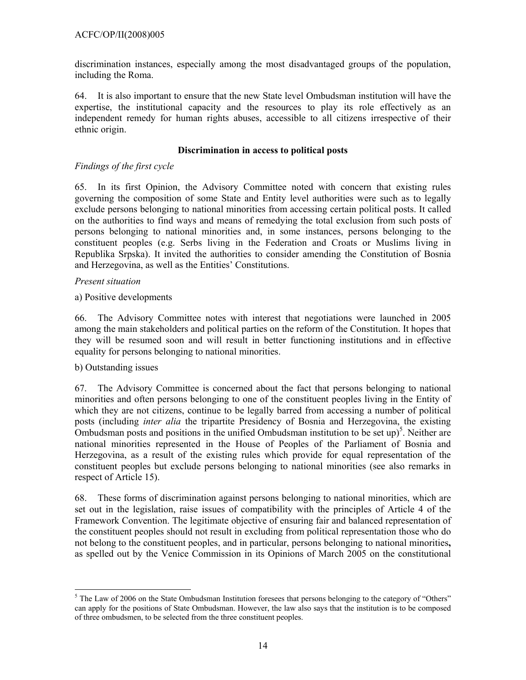discrimination instances, especially among the most disadvantaged groups of the population, including the Roma.

64. It is also important to ensure that the new State level Ombudsman institution will have the expertise, the institutional capacity and the resources to play its role effectively as an independent remedy for human rights abuses, accessible to all citizens irrespective of their ethnic origin.

### **Discrimination in access to political posts**

## *Findings of the first cycle*

65. In its first Opinion, the Advisory Committee noted with concern that existing rules governing the composition of some State and Entity level authorities were such as to legally exclude persons belonging to national minorities from accessing certain political posts. It called on the authorities to find ways and means of remedying the total exclusion from such posts of persons belonging to national minorities and, in some instances, persons belonging to the constituent peoples (e.g. Serbs living in the Federation and Croats or Muslims living in Republika Srpska). It invited the authorities to consider amending the Constitution of Bosnia and Herzegovina, as well as the Entities' Constitutions.

### *Present situation*

### a) Positive developments

66. The Advisory Committee notes with interest that negotiations were launched in 2005 among the main stakeholders and political parties on the reform of the Constitution. It hopes that they will be resumed soon and will result in better functioning institutions and in effective equality for persons belonging to national minorities.

#### b) Outstanding issues

67. The Advisory Committee is concerned about the fact that persons belonging to national minorities and often persons belonging to one of the constituent peoples living in the Entity of which they are not citizens, continue to be legally barred from accessing a number of political posts (including *inter alia* the tripartite Presidency of Bosnia and Herzegovina, the existing Ombudsman posts and positions in the unified Ombudsman institution to be set up)<sup>5</sup>. Neither are national minorities represented in the House of Peoples of the Parliament of Bosnia and Herzegovina, as a result of the existing rules which provide for equal representation of the constituent peoples but exclude persons belonging to national minorities (see also remarks in respect of Article 15).

68. These forms of discrimination against persons belonging to national minorities, which are set out in the legislation, raise issues of compatibility with the principles of Article 4 of the Framework Convention. The legitimate objective of ensuring fair and balanced representation of the constituent peoples should not result in excluding from political representation those who do not belong to the constituent peoples, and in particular, persons belonging to national minorities**,**  as spelled out by the Venice Commission in its Opinions of March 2005 on the constitutional

 $\overline{a}$  $<sup>5</sup>$  The Law of 2006 on the State Ombudsman Institution foresees that persons belonging to the category of "Others"</sup> can apply for the positions of State Ombudsman. However, the law also says that the institution is to be composed of three ombudsmen, to be selected from the three constituent peoples.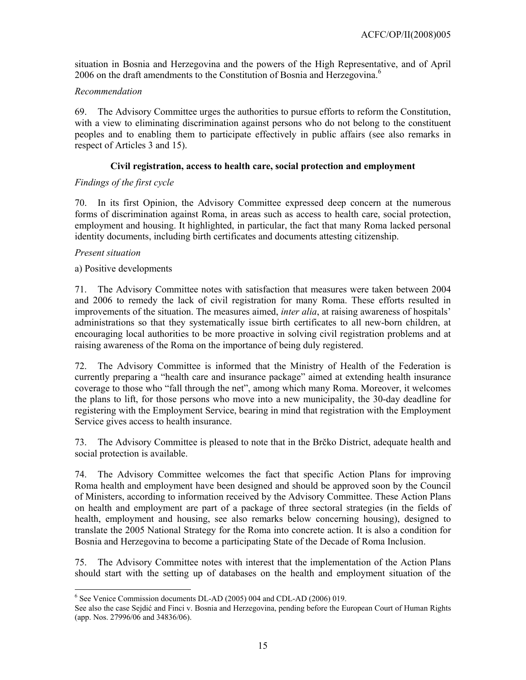situation in Bosnia and Herzegovina and the powers of the High Representative, and of April 2006 on the draft amendments to the Constitution of Bosnia and Herzegovina.<sup>6</sup>

## *Recommendation*

69. The Advisory Committee urges the authorities to pursue efforts to reform the Constitution, with a view to eliminating discrimination against persons who do not belong to the constituent peoples and to enabling them to participate effectively in public affairs (see also remarks in respect of Articles 3 and 15).

### **Civil registration, access to health care, social protection and employment**

## *Findings of the first cycle*

70. In its first Opinion, the Advisory Committee expressed deep concern at the numerous forms of discrimination against Roma, in areas such as access to health care, social protection, employment and housing. It highlighted, in particular, the fact that many Roma lacked personal identity documents, including birth certificates and documents attesting citizenship.

### *Present situation*

 $\overline{a}$ 

### a) Positive developments

71. The Advisory Committee notes with satisfaction that measures were taken between 2004 and 2006 to remedy the lack of civil registration for many Roma. These efforts resulted in improvements of the situation. The measures aimed, *inter alia*, at raising awareness of hospitals' administrations so that they systematically issue birth certificates to all new-born children, at encouraging local authorities to be more proactive in solving civil registration problems and at raising awareness of the Roma on the importance of being duly registered.

72. The Advisory Committee is informed that the Ministry of Health of the Federation is currently preparing a "health care and insurance package" aimed at extending health insurance coverage to those who "fall through the net", among which many Roma. Moreover, it welcomes the plans to lift, for those persons who move into a new municipality, the 30-day deadline for registering with the Employment Service, bearing in mind that registration with the Employment Service gives access to health insurance.

73. The Advisory Committee is pleased to note that in the Brčko District, adequate health and social protection is available.

74. The Advisory Committee welcomes the fact that specific Action Plans for improving Roma health and employment have been designed and should be approved soon by the Council of Ministers, according to information received by the Advisory Committee. These Action Plans on health and employment are part of a package of three sectoral strategies (in the fields of health, employment and housing, see also remarks below concerning housing), designed to translate the 2005 National Strategy for the Roma into concrete action. It is also a condition for Bosnia and Herzegovina to become a participating State of the Decade of Roma Inclusion.

75. The Advisory Committee notes with interest that the implementation of the Action Plans should start with the setting up of databases on the health and employment situation of the

<sup>&</sup>lt;sup>6</sup> See Venice Commission documents DL-AD (2005) 004 and CDL-AD (2006) 019.

See also the case Sejdić and Finci v. Bosnia and Herzegovina, pending before the European Court of Human Rights (app. Nos. 27996/06 and 34836/06).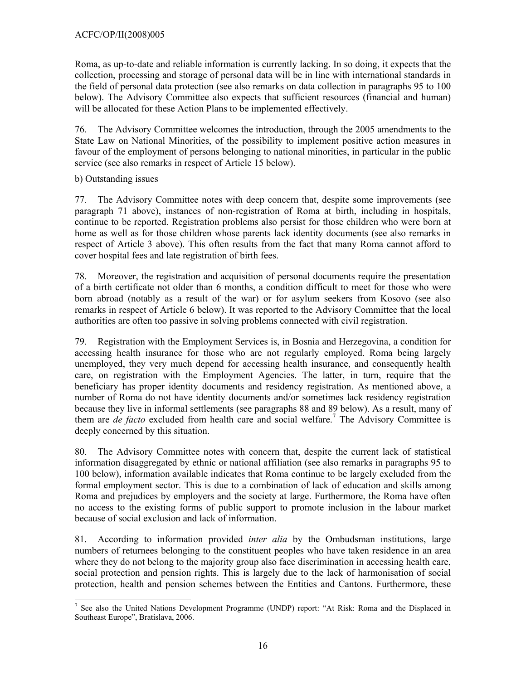Roma, as up-to-date and reliable information is currently lacking. In so doing, it expects that the collection, processing and storage of personal data will be in line with international standards in the field of personal data protection (see also remarks on data collection in paragraphs 95 to 100 below). The Advisory Committee also expects that sufficient resources (financial and human) will be allocated for these Action Plans to be implemented effectively.

76. The Advisory Committee welcomes the introduction, through the 2005 amendments to the State Law on National Minorities, of the possibility to implement positive action measures in favour of the employment of persons belonging to national minorities, in particular in the public service (see also remarks in respect of Article 15 below).

b) Outstanding issues

77. The Advisory Committee notes with deep concern that, despite some improvements (see paragraph 71 above), instances of non-registration of Roma at birth, including in hospitals, continue to be reported. Registration problems also persist for those children who were born at home as well as for those children whose parents lack identity documents (see also remarks in respect of Article 3 above). This often results from the fact that many Roma cannot afford to cover hospital fees and late registration of birth fees.

78. Moreover, the registration and acquisition of personal documents require the presentation of a birth certificate not older than 6 months, a condition difficult to meet for those who were born abroad (notably as a result of the war) or for asylum seekers from Kosovo (see also remarks in respect of Article 6 below). It was reported to the Advisory Committee that the local authorities are often too passive in solving problems connected with civil registration.

79. Registration with the Employment Services is, in Bosnia and Herzegovina, a condition for accessing health insurance for those who are not regularly employed. Roma being largely unemployed, they very much depend for accessing health insurance, and consequently health care, on registration with the Employment Agencies. The latter, in turn, require that the beneficiary has proper identity documents and residency registration. As mentioned above, a number of Roma do not have identity documents and/or sometimes lack residency registration because they live in informal settlements (see paragraphs 88 and 89 below). As a result, many of them are *de facto* excluded from health care and social welfare.<sup>7</sup> The Advisory Committee is deeply concerned by this situation.

80. The Advisory Committee notes with concern that, despite the current lack of statistical information disaggregated by ethnic or national affiliation (see also remarks in paragraphs 95 to 100 below), information available indicates that Roma continue to be largely excluded from the formal employment sector. This is due to a combination of lack of education and skills among Roma and prejudices by employers and the society at large. Furthermore, the Roma have often no access to the existing forms of public support to promote inclusion in the labour market because of social exclusion and lack of information.

81. According to information provided *inter alia* by the Ombudsman institutions, large numbers of returnees belonging to the constituent peoples who have taken residence in an area where they do not belong to the majority group also face discrimination in accessing health care, social protection and pension rights. This is largely due to the lack of harmonisation of social protection, health and pension schemes between the Entities and Cantons. Furthermore, these

 $\overline{a}$ <sup>7</sup> See also the United Nations Development Programme (UNDP) report: "At Risk: Roma and the Displaced in Southeast Europe", Bratislava, 2006.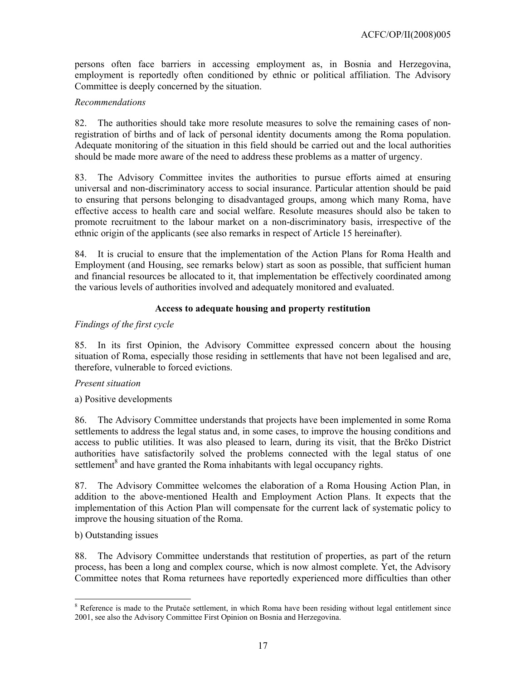persons often face barriers in accessing employment as, in Bosnia and Herzegovina, employment is reportedly often conditioned by ethnic or political affiliation. The Advisory Committee is deeply concerned by the situation.

### *Recommendations*

82. The authorities should take more resolute measures to solve the remaining cases of nonregistration of births and of lack of personal identity documents among the Roma population. Adequate monitoring of the situation in this field should be carried out and the local authorities should be made more aware of the need to address these problems as a matter of urgency.

83. The Advisory Committee invites the authorities to pursue efforts aimed at ensuring universal and non-discriminatory access to social insurance. Particular attention should be paid to ensuring that persons belonging to disadvantaged groups, among which many Roma, have effective access to health care and social welfare. Resolute measures should also be taken to promote recruitment to the labour market on a non-discriminatory basis, irrespective of the ethnic origin of the applicants (see also remarks in respect of Article 15 hereinafter).

84. It is crucial to ensure that the implementation of the Action Plans for Roma Health and Employment (and Housing, see remarks below) start as soon as possible, that sufficient human and financial resources be allocated to it, that implementation be effectively coordinated among the various levels of authorities involved and adequately monitored and evaluated.

## **Access to adequate housing and property restitution**

### *Findings of the first cycle*

85. In its first Opinion, the Advisory Committee expressed concern about the housing situation of Roma, especially those residing in settlements that have not been legalised and are, therefore, vulnerable to forced evictions.

#### *Present situation*

a) Positive developments

86. The Advisory Committee understands that projects have been implemented in some Roma settlements to address the legal status and, in some cases, to improve the housing conditions and access to public utilities. It was also pleased to learn, during its visit, that the Brčko District authorities have satisfactorily solved the problems connected with the legal status of one settlement<sup>8</sup> and have granted the Roma inhabitants with legal occupancy rights.

87. The Advisory Committee welcomes the elaboration of a Roma Housing Action Plan, in addition to the above-mentioned Health and Employment Action Plans. It expects that the implementation of this Action Plan will compensate for the current lack of systematic policy to improve the housing situation of the Roma.

### b) Outstanding issues

 $\overline{a}$ 

88. The Advisory Committee understands that restitution of properties, as part of the return process, has been a long and complex course, which is now almost complete. Yet, the Advisory Committee notes that Roma returnees have reportedly experienced more difficulties than other

<sup>&</sup>lt;sup>8</sup> Reference is made to the Prutače settlement, in which Roma have been residing without legal entitlement since 2001, see also the Advisory Committee First Opinion on Bosnia and Herzegovina.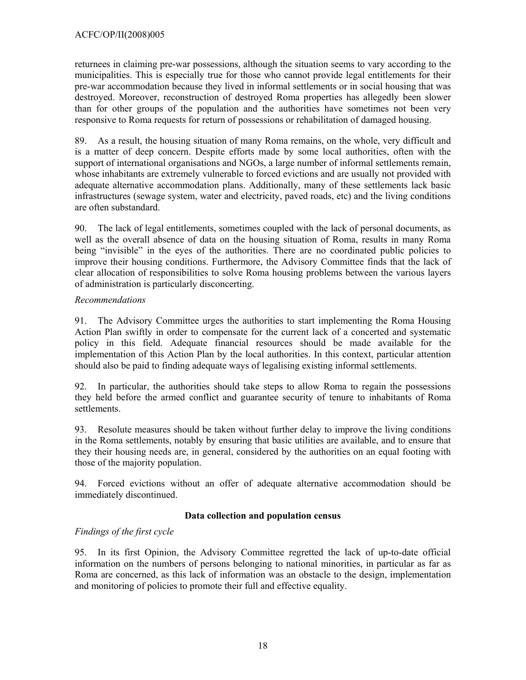returnees in claiming pre-war possessions, although the situation seems to vary according to the municipalities. This is especially true for those who cannot provide legal entitlements for their pre-war accommodation because they lived in informal settlements or in social housing that was destroyed. Moreover, reconstruction of destroyed Roma properties has allegedly been slower than for other groups of the population and the authorities have sometimes not been very responsive to Roma requests for return of possessions or rehabilitation of damaged housing.

89. As a result, the housing situation of many Roma remains, on the whole, very difficult and is a matter of deep concern. Despite efforts made by some local authorities, often with the support of international organisations and NGOs, a large number of informal settlements remain, whose inhabitants are extremely vulnerable to forced evictions and are usually not provided with adequate alternative accommodation plans. Additionally, many of these settlements lack basic infrastructures (sewage system, water and electricity, paved roads, etc) and the living conditions are often substandard.

90. The lack of legal entitlements, sometimes coupled with the lack of personal documents, as well as the overall absence of data on the housing situation of Roma, results in many Roma being "invisible" in the eyes of the authorities. There are no coordinated public policies to improve their housing conditions. Furthermore, the Advisory Committee finds that the lack of clear allocation of responsibilities to solve Roma housing problems between the various layers of administration is particularly disconcerting.

## *Recommendations*

91. The Advisory Committee urges the authorities to start implementing the Roma Housing Action Plan swiftly in order to compensate for the current lack of a concerted and systematic policy in this field. Adequate financial resources should be made available for the implementation of this Action Plan by the local authorities. In this context, particular attention should also be paid to finding adequate ways of legalising existing informal settlements.

92. In particular, the authorities should take steps to allow Roma to regain the possessions they held before the armed conflict and guarantee security of tenure to inhabitants of Roma settlements.

93. Resolute measures should be taken without further delay to improve the living conditions in the Roma settlements, notably by ensuring that basic utilities are available, and to ensure that they their housing needs are, in general, considered by the authorities on an equal footing with those of the majority population.

94. Forced evictions without an offer of adequate alternative accommodation should be immediately discontinued.

## **Data collection and population census**

# *Findings of the first cycle*

95. In its first Opinion, the Advisory Committee regretted the lack of up-to-date official information on the numbers of persons belonging to national minorities, in particular as far as Roma are concerned, as this lack of information was an obstacle to the design, implementation and monitoring of policies to promote their full and effective equality.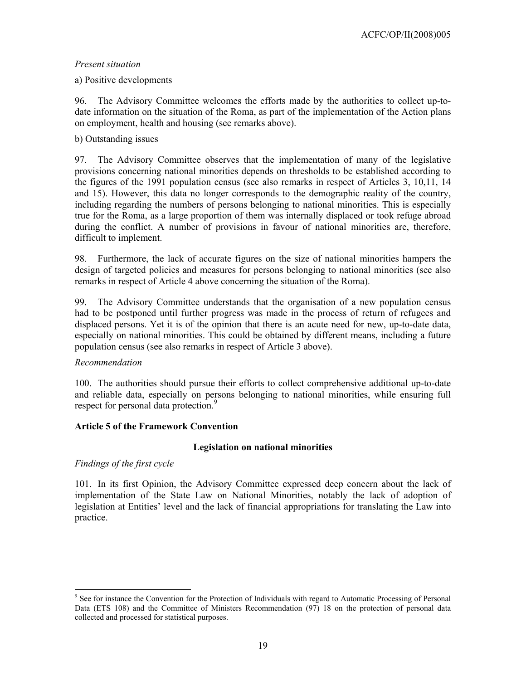## *Present situation*

## a) Positive developments

96. The Advisory Committee welcomes the efforts made by the authorities to collect up-todate information on the situation of the Roma, as part of the implementation of the Action plans on employment, health and housing (see remarks above).

### b) Outstanding issues

97. The Advisory Committee observes that the implementation of many of the legislative provisions concerning national minorities depends on thresholds to be established according to the figures of the 1991 population census (see also remarks in respect of Articles 3, 10,11, 14 and 15). However, this data no longer corresponds to the demographic reality of the country, including regarding the numbers of persons belonging to national minorities. This is especially true for the Roma, as a large proportion of them was internally displaced or took refuge abroad during the conflict. A number of provisions in favour of national minorities are, therefore, difficult to implement.

98. Furthermore, the lack of accurate figures on the size of national minorities hampers the design of targeted policies and measures for persons belonging to national minorities (see also remarks in respect of Article 4 above concerning the situation of the Roma).

99. The Advisory Committee understands that the organisation of a new population census had to be postponed until further progress was made in the process of return of refugees and displaced persons. Yet it is of the opinion that there is an acute need for new, up-to-date data, especially on national minorities. This could be obtained by different means, including a future population census (see also remarks in respect of Article 3 above).

## *Recommendation*

100. The authorities should pursue their efforts to collect comprehensive additional up-to-date and reliable data, especially on persons belonging to national minorities, while ensuring full respect for personal data protection.<sup>9</sup>

#### **Article 5 of the Framework Convention**

## **Legislation on national minorities**

*Findings of the first cycle* 

 $\overline{a}$ 

101. In its first Opinion, the Advisory Committee expressed deep concern about the lack of implementation of the State Law on National Minorities, notably the lack of adoption of legislation at Entities' level and the lack of financial appropriations for translating the Law into practice.

<sup>&</sup>lt;sup>9</sup> See for instance the Convention for the Protection of Individuals with regard to Automatic Processing of Personal Data (ETS 108) and the Committee of Ministers Recommendation (97) 18 on the protection of personal data collected and processed for statistical purposes.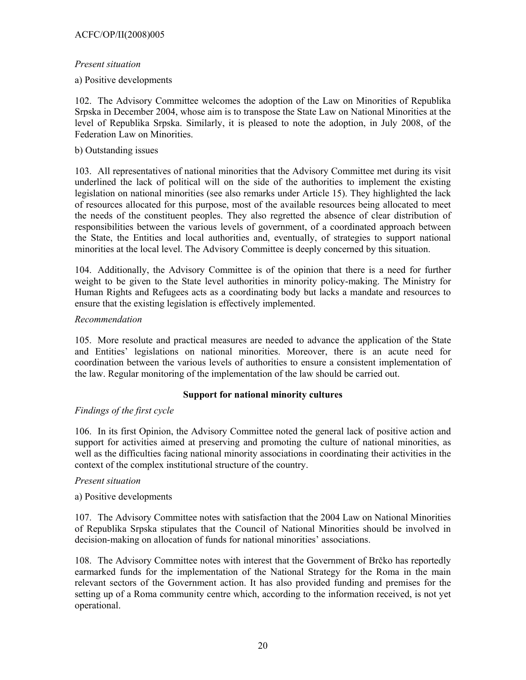## ACFC/OP/II(2008)005

### *Present situation*

a) Positive developments

102. The Advisory Committee welcomes the adoption of the Law on Minorities of Republika Srpska in December 2004, whose aim is to transpose the State Law on National Minorities at the level of Republika Srpska. Similarly, it is pleased to note the adoption, in July 2008, of the Federation Law on Minorities.

### b) Outstanding issues

103. All representatives of national minorities that the Advisory Committee met during its visit underlined the lack of political will on the side of the authorities to implement the existing legislation on national minorities (see also remarks under Article 15). They highlighted the lack of resources allocated for this purpose, most of the available resources being allocated to meet the needs of the constituent peoples. They also regretted the absence of clear distribution of responsibilities between the various levels of government, of a coordinated approach between the State, the Entities and local authorities and, eventually, of strategies to support national minorities at the local level. The Advisory Committee is deeply concerned by this situation.

104. Additionally, the Advisory Committee is of the opinion that there is a need for further weight to be given to the State level authorities in minority policy-making. The Ministry for Human Rights and Refugees acts as a coordinating body but lacks a mandate and resources to ensure that the existing legislation is effectively implemented.

### *Recommendation*

105. More resolute and practical measures are needed to advance the application of the State and Entities' legislations on national minorities. Moreover, there is an acute need for coordination between the various levels of authorities to ensure a consistent implementation of the law. Regular monitoring of the implementation of the law should be carried out.

## **Support for national minority cultures**

## *Findings of the first cycle*

106. In its first Opinion, the Advisory Committee noted the general lack of positive action and support for activities aimed at preserving and promoting the culture of national minorities, as well as the difficulties facing national minority associations in coordinating their activities in the context of the complex institutional structure of the country.

#### *Present situation*

## a) Positive developments

107. The Advisory Committee notes with satisfaction that the 2004 Law on National Minorities of Republika Srpska stipulates that the Council of National Minorities should be involved in decision-making on allocation of funds for national minorities' associations.

108. The Advisory Committee notes with interest that the Government of Brčko has reportedly earmarked funds for the implementation of the National Strategy for the Roma in the main relevant sectors of the Government action. It has also provided funding and premises for the setting up of a Roma community centre which, according to the information received, is not yet operational.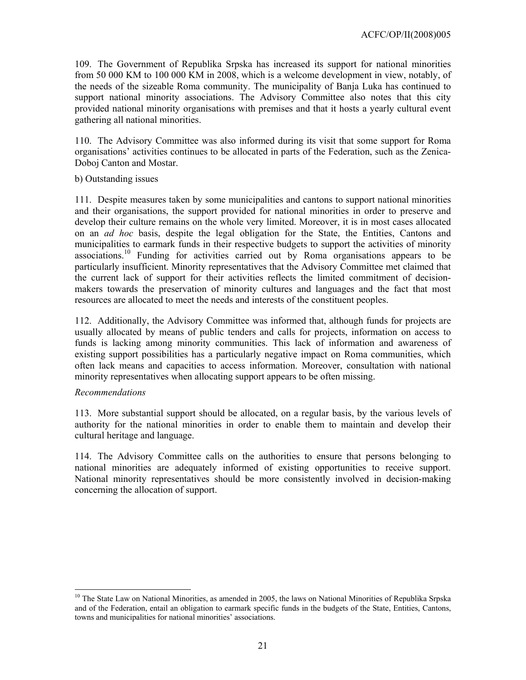109. The Government of Republika Srpska has increased its support for national minorities from 50 000 KM to 100 000 KM in 2008, which is a welcome development in view, notably, of the needs of the sizeable Roma community. The municipality of Banja Luka has continued to support national minority associations. The Advisory Committee also notes that this city provided national minority organisations with premises and that it hosts a yearly cultural event gathering all national minorities.

110. The Advisory Committee was also informed during its visit that some support for Roma organisations' activities continues to be allocated in parts of the Federation, such as the Zenica-Doboj Canton and Mostar.

#### b) Outstanding issues

111. Despite measures taken by some municipalities and cantons to support national minorities and their organisations, the support provided for national minorities in order to preserve and develop their culture remains on the whole very limited. Moreover, it is in most cases allocated on an *ad hoc* basis, despite the legal obligation for the State, the Entities, Cantons and municipalities to earmark funds in their respective budgets to support the activities of minority associations.10 Funding for activities carried out by Roma organisations appears to be particularly insufficient. Minority representatives that the Advisory Committee met claimed that the current lack of support for their activities reflects the limited commitment of decisionmakers towards the preservation of minority cultures and languages and the fact that most resources are allocated to meet the needs and interests of the constituent peoples.

112. Additionally, the Advisory Committee was informed that, although funds for projects are usually allocated by means of public tenders and calls for projects, information on access to funds is lacking among minority communities. This lack of information and awareness of existing support possibilities has a particularly negative impact on Roma communities, which often lack means and capacities to access information. Moreover, consultation with national minority representatives when allocating support appears to be often missing.

#### *Recommendations*

 $\overline{a}$ 

113. More substantial support should be allocated, on a regular basis, by the various levels of authority for the national minorities in order to enable them to maintain and develop their cultural heritage and language.

114. The Advisory Committee calls on the authorities to ensure that persons belonging to national minorities are adequately informed of existing opportunities to receive support. National minority representatives should be more consistently involved in decision-making concerning the allocation of support.

<sup>&</sup>lt;sup>10</sup> The State Law on National Minorities, as amended in 2005, the laws on National Minorities of Republika Srpska and of the Federation, entail an obligation to earmark specific funds in the budgets of the State, Entities, Cantons, towns and municipalities for national minorities' associations.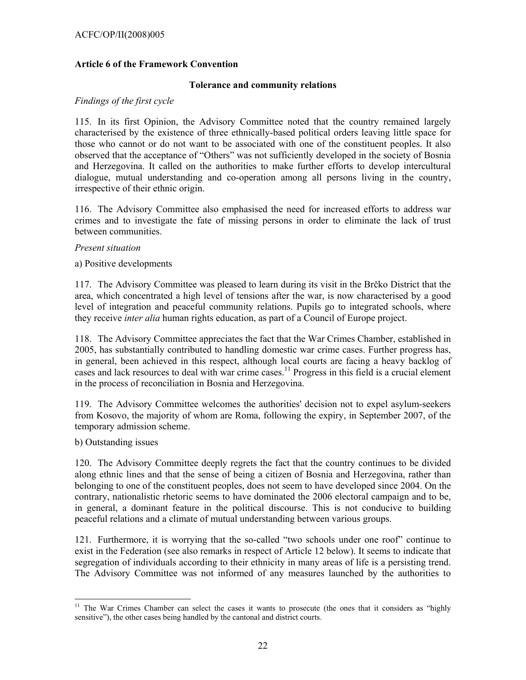## **Article 6 of the Framework Convention**

#### **Tolerance and community relations**

#### *Findings of the first cycle*

115. In its first Opinion, the Advisory Committee noted that the country remained largely characterised by the existence of three ethnically-based political orders leaving little space for those who cannot or do not want to be associated with one of the constituent peoples. It also observed that the acceptance of "Others" was not sufficiently developed in the society of Bosnia and Herzegovina. It called on the authorities to make further efforts to develop intercultural dialogue, mutual understanding and co-operation among all persons living in the country, irrespective of their ethnic origin.

116. The Advisory Committee also emphasised the need for increased efforts to address war crimes and to investigate the fate of missing persons in order to eliminate the lack of trust between communities.

#### *Present situation*

a) Positive developments

117. The Advisory Committee was pleased to learn during its visit in the Brčko District that the area, which concentrated a high level of tensions after the war, is now characterised by a good level of integration and peaceful community relations. Pupils go to integrated schools, where they receive *inter alia* human rights education, as part of a Council of Europe project.

118. The Advisory Committee appreciates the fact that the War Crimes Chamber, established in 2005, has substantially contributed to handling domestic war crime cases. Further progress has, in general, been achieved in this respect, although local courts are facing a heavy backlog of cases and lack resources to deal with war crime cases.11 Progress in this field is a crucial element in the process of reconciliation in Bosnia and Herzegovina.

119. The Advisory Committee welcomes the authorities' decision not to expel asylum-seekers from Kosovo, the majority of whom are Roma, following the expiry, in September 2007, of the temporary admission scheme.

b) Outstanding issues

 $\overline{a}$ 

120. The Advisory Committee deeply regrets the fact that the country continues to be divided along ethnic lines and that the sense of being a citizen of Bosnia and Herzegovina, rather than belonging to one of the constituent peoples, does not seem to have developed since 2004. On the contrary, nationalistic rhetoric seems to have dominated the 2006 electoral campaign and to be, in general, a dominant feature in the political discourse. This is not conducive to building peaceful relations and a climate of mutual understanding between various groups.

121. Furthermore, it is worrying that the so-called "two schools under one roof" continue to exist in the Federation (see also remarks in respect of Article 12 below). It seems to indicate that segregation of individuals according to their ethnicity in many areas of life is a persisting trend. The Advisory Committee was not informed of any measures launched by the authorities to

<sup>&</sup>lt;sup>11</sup> The War Crimes Chamber can select the cases it wants to prosecute (the ones that it considers as "highly sensitive"), the other cases being handled by the cantonal and district courts.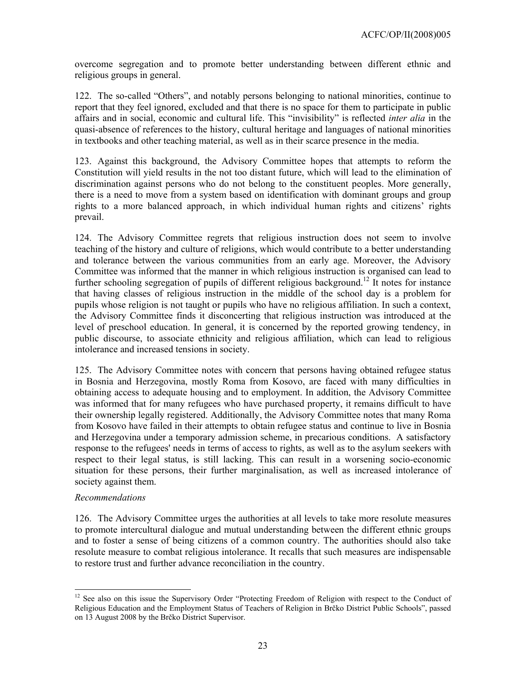overcome segregation and to promote better understanding between different ethnic and religious groups in general.

122. The so-called "Others", and notably persons belonging to national minorities, continue to report that they feel ignored, excluded and that there is no space for them to participate in public affairs and in social, economic and cultural life. This "invisibility" is reflected *inter alia* in the quasi-absence of references to the history, cultural heritage and languages of national minorities in textbooks and other teaching material, as well as in their scarce presence in the media.

123. Against this background, the Advisory Committee hopes that attempts to reform the Constitution will yield results in the not too distant future, which will lead to the elimination of discrimination against persons who do not belong to the constituent peoples. More generally, there is a need to move from a system based on identification with dominant groups and group rights to a more balanced approach, in which individual human rights and citizens' rights prevail.

124. The Advisory Committee regrets that religious instruction does not seem to involve teaching of the history and culture of religions, which would contribute to a better understanding and tolerance between the various communities from an early age. Moreover, the Advisory Committee was informed that the manner in which religious instruction is organised can lead to further schooling segregation of pupils of different religious background.<sup>12</sup> It notes for instance that having classes of religious instruction in the middle of the school day is a problem for pupils whose religion is not taught or pupils who have no religious affiliation. In such a context, the Advisory Committee finds it disconcerting that religious instruction was introduced at the level of preschool education. In general, it is concerned by the reported growing tendency, in public discourse, to associate ethnicity and religious affiliation, which can lead to religious intolerance and increased tensions in society.

125. The Advisory Committee notes with concern that persons having obtained refugee status in Bosnia and Herzegovina, mostly Roma from Kosovo, are faced with many difficulties in obtaining access to adequate housing and to employment. In addition, the Advisory Committee was informed that for many refugees who have purchased property, it remains difficult to have their ownership legally registered. Additionally, the Advisory Committee notes that many Roma from Kosovo have failed in their attempts to obtain refugee status and continue to live in Bosnia and Herzegovina under a temporary admission scheme, in precarious conditions. A satisfactory response to the refugees' needs in terms of access to rights, as well as to the asylum seekers with respect to their legal status, is still lacking. This can result in a worsening socio-economic situation for these persons, their further marginalisation, as well as increased intolerance of society against them.

## *Recommendations*

 $\overline{a}$ 

126. The Advisory Committee urges the authorities at all levels to take more resolute measures to promote intercultural dialogue and mutual understanding between the different ethnic groups and to foster a sense of being citizens of a common country. The authorities should also take resolute measure to combat religious intolerance. It recalls that such measures are indispensable to restore trust and further advance reconciliation in the country.

<sup>&</sup>lt;sup>12</sup> See also on this issue the Supervisory Order "Protecting Freedom of Religion with respect to the Conduct of Religious Education and the Employment Status of Teachers of Religion in Brčko District Public Schools", passed on 13 August 2008 by the Brčko District Supervisor.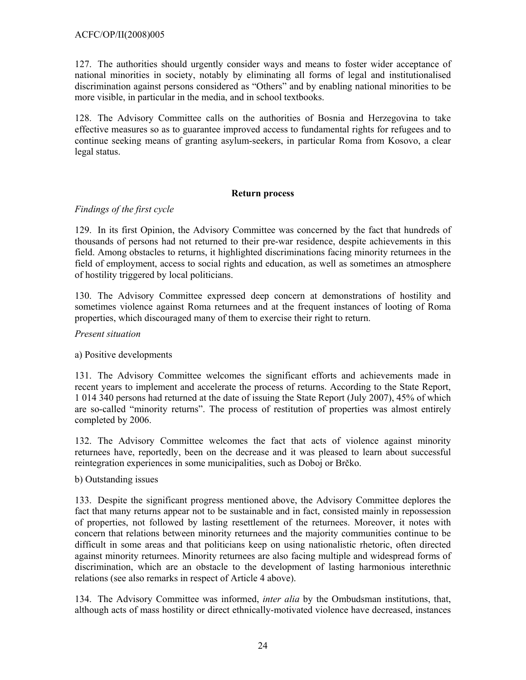127. The authorities should urgently consider ways and means to foster wider acceptance of national minorities in society, notably by eliminating all forms of legal and institutionalised discrimination against persons considered as "Others" and by enabling national minorities to be more visible, in particular in the media, and in school textbooks.

128. The Advisory Committee calls on the authorities of Bosnia and Herzegovina to take effective measures so as to guarantee improved access to fundamental rights for refugees and to continue seeking means of granting asylum-seekers, in particular Roma from Kosovo, a clear legal status.

### **Return process**

## *Findings of the first cycle*

129. In its first Opinion, the Advisory Committee was concerned by the fact that hundreds of thousands of persons had not returned to their pre-war residence, despite achievements in this field. Among obstacles to returns, it highlighted discriminations facing minority returnees in the field of employment, access to social rights and education, as well as sometimes an atmosphere of hostility triggered by local politicians.

130. The Advisory Committee expressed deep concern at demonstrations of hostility and sometimes violence against Roma returnees and at the frequent instances of looting of Roma properties, which discouraged many of them to exercise their right to return.

## *Present situation*

## a) Positive developments

131. The Advisory Committee welcomes the significant efforts and achievements made in recent years to implement and accelerate the process of returns. According to the State Report, 1 014 340 persons had returned at the date of issuing the State Report (July 2007), 45% of which are so-called "minority returns". The process of restitution of properties was almost entirely completed by 2006.

132. The Advisory Committee welcomes the fact that acts of violence against minority returnees have, reportedly, been on the decrease and it was pleased to learn about successful reintegration experiences in some municipalities, such as Doboj or Brčko.

## b) Outstanding issues

133. Despite the significant progress mentioned above, the Advisory Committee deplores the fact that many returns appear not to be sustainable and in fact, consisted mainly in repossession of properties, not followed by lasting resettlement of the returnees. Moreover, it notes with concern that relations between minority returnees and the majority communities continue to be difficult in some areas and that politicians keep on using nationalistic rhetoric, often directed against minority returnees. Minority returnees are also facing multiple and widespread forms of discrimination, which are an obstacle to the development of lasting harmonious interethnic relations (see also remarks in respect of Article 4 above).

134. The Advisory Committee was informed, *inter alia* by the Ombudsman institutions, that, although acts of mass hostility or direct ethnically-motivated violence have decreased, instances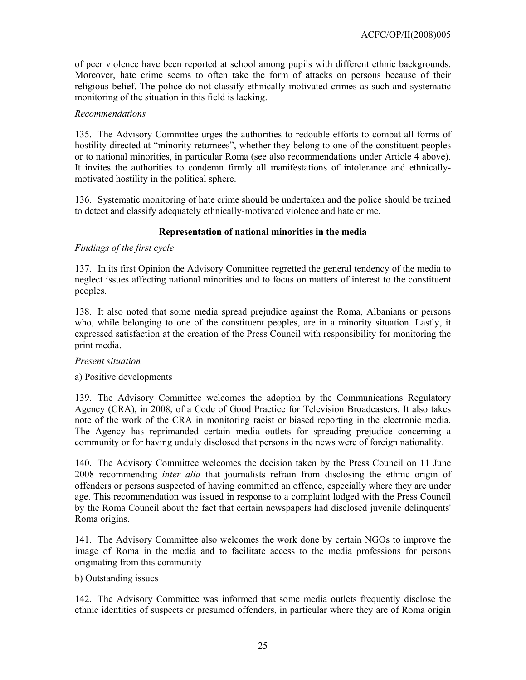of peer violence have been reported at school among pupils with different ethnic backgrounds. Moreover, hate crime seems to often take the form of attacks on persons because of their religious belief. The police do not classify ethnically-motivated crimes as such and systematic monitoring of the situation in this field is lacking.

### *Recommendations*

135. The Advisory Committee urges the authorities to redouble efforts to combat all forms of hostility directed at "minority returnees", whether they belong to one of the constituent peoples or to national minorities, in particular Roma (see also recommendations under Article 4 above). It invites the authorities to condemn firmly all manifestations of intolerance and ethnicallymotivated hostility in the political sphere.

136. Systematic monitoring of hate crime should be undertaken and the police should be trained to detect and classify adequately ethnically-motivated violence and hate crime.

## **Representation of national minorities in the media**

### *Findings of the first cycle*

137. In its first Opinion the Advisory Committee regretted the general tendency of the media to neglect issues affecting national minorities and to focus on matters of interest to the constituent peoples.

138. It also noted that some media spread prejudice against the Roma, Albanians or persons who, while belonging to one of the constituent peoples, are in a minority situation. Lastly, it expressed satisfaction at the creation of the Press Council with responsibility for monitoring the print media.

#### *Present situation*

#### a) Positive developments

139. The Advisory Committee welcomes the adoption by the Communications Regulatory Agency (CRA), in 2008, of a Code of Good Practice for Television Broadcasters. It also takes note of the work of the CRA in monitoring racist or biased reporting in the electronic media. The Agency has reprimanded certain media outlets for spreading prejudice concerning a community or for having unduly disclosed that persons in the news were of foreign nationality.

140. The Advisory Committee welcomes the decision taken by the Press Council on 11 June 2008 recommending *inter alia* that journalists refrain from disclosing the ethnic origin of offenders or persons suspected of having committed an offence, especially where they are under age. This recommendation was issued in response to a complaint lodged with the Press Council by the Roma Council about the fact that certain newspapers had disclosed juvenile delinquents' Roma origins.

141. The Advisory Committee also welcomes the work done by certain NGOs to improve the image of Roma in the media and to facilitate access to the media professions for persons originating from this community

#### b) Outstanding issues

142. The Advisory Committee was informed that some media outlets frequently disclose the ethnic identities of suspects or presumed offenders, in particular where they are of Roma origin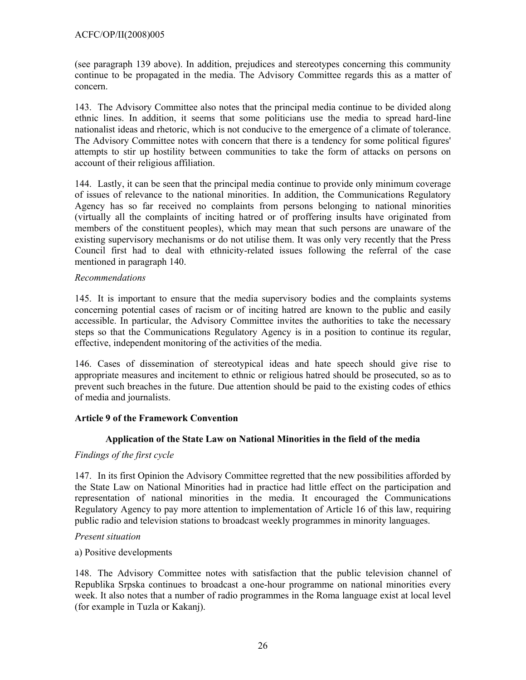(see paragraph 139 above). In addition, prejudices and stereotypes concerning this community continue to be propagated in the media. The Advisory Committee regards this as a matter of concern.

143. The Advisory Committee also notes that the principal media continue to be divided along ethnic lines. In addition, it seems that some politicians use the media to spread hard-line nationalist ideas and rhetoric, which is not conducive to the emergence of a climate of tolerance. The Advisory Committee notes with concern that there is a tendency for some political figures' attempts to stir up hostility between communities to take the form of attacks on persons on account of their religious affiliation.

144. Lastly, it can be seen that the principal media continue to provide only minimum coverage of issues of relevance to the national minorities. In addition, the Communications Regulatory Agency has so far received no complaints from persons belonging to national minorities (virtually all the complaints of inciting hatred or of proffering insults have originated from members of the constituent peoples), which may mean that such persons are unaware of the existing supervisory mechanisms or do not utilise them. It was only very recently that the Press Council first had to deal with ethnicity-related issues following the referral of the case mentioned in paragraph 140.

### *Recommendations*

145. It is important to ensure that the media supervisory bodies and the complaints systems concerning potential cases of racism or of inciting hatred are known to the public and easily accessible. In particular, the Advisory Committee invites the authorities to take the necessary steps so that the Communications Regulatory Agency is in a position to continue its regular, effective, independent monitoring of the activities of the media.

146. Cases of dissemination of stereotypical ideas and hate speech should give rise to appropriate measures and incitement to ethnic or religious hatred should be prosecuted, so as to prevent such breaches in the future. Due attention should be paid to the existing codes of ethics of media and journalists.

## **Article 9 of the Framework Convention**

## **Application of the State Law on National Minorities in the field of the media**

#### *Findings of the first cycle*

147. In its first Opinion the Advisory Committee regretted that the new possibilities afforded by the State Law on National Minorities had in practice had little effect on the participation and representation of national minorities in the media. It encouraged the Communications Regulatory Agency to pay more attention to implementation of Article 16 of this law, requiring public radio and television stations to broadcast weekly programmes in minority languages.

#### *Present situation*

#### a) Positive developments

148. The Advisory Committee notes with satisfaction that the public television channel of Republika Srpska continues to broadcast a one-hour programme on national minorities every week. It also notes that a number of radio programmes in the Roma language exist at local level (for example in Tuzla or Kakanj).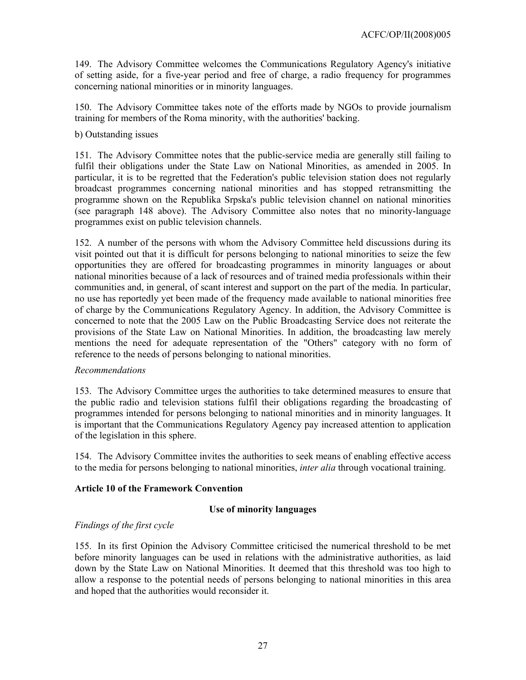149. The Advisory Committee welcomes the Communications Regulatory Agency's initiative of setting aside, for a five-year period and free of charge, a radio frequency for programmes concerning national minorities or in minority languages.

150. The Advisory Committee takes note of the efforts made by NGOs to provide journalism training for members of the Roma minority, with the authorities' backing.

b) Outstanding issues

151. The Advisory Committee notes that the public-service media are generally still failing to fulfil their obligations under the State Law on National Minorities, as amended in 2005. In particular, it is to be regretted that the Federation's public television station does not regularly broadcast programmes concerning national minorities and has stopped retransmitting the programme shown on the Republika Srpska's public television channel on national minorities (see paragraph 148 above). The Advisory Committee also notes that no minority-language programmes exist on public television channels.

152. A number of the persons with whom the Advisory Committee held discussions during its visit pointed out that it is difficult for persons belonging to national minorities to seize the few opportunities they are offered for broadcasting programmes in minority languages or about national minorities because of a lack of resources and of trained media professionals within their communities and, in general, of scant interest and support on the part of the media. In particular, no use has reportedly yet been made of the frequency made available to national minorities free of charge by the Communications Regulatory Agency. In addition, the Advisory Committee is concerned to note that the 2005 Law on the Public Broadcasting Service does not reiterate the provisions of the State Law on National Minorities. In addition, the broadcasting law merely mentions the need for adequate representation of the "Others" category with no form of reference to the needs of persons belonging to national minorities.

#### *Recommendations*

153. The Advisory Committee urges the authorities to take determined measures to ensure that the public radio and television stations fulfil their obligations regarding the broadcasting of programmes intended for persons belonging to national minorities and in minority languages. It is important that the Communications Regulatory Agency pay increased attention to application of the legislation in this sphere.

154. The Advisory Committee invites the authorities to seek means of enabling effective access to the media for persons belonging to national minorities, *inter alia* through vocational training.

## **Article 10 of the Framework Convention**

## **Use of minority languages**

## *Findings of the first cycle*

155. In its first Opinion the Advisory Committee criticised the numerical threshold to be met before minority languages can be used in relations with the administrative authorities, as laid down by the State Law on National Minorities. It deemed that this threshold was too high to allow a response to the potential needs of persons belonging to national minorities in this area and hoped that the authorities would reconsider it.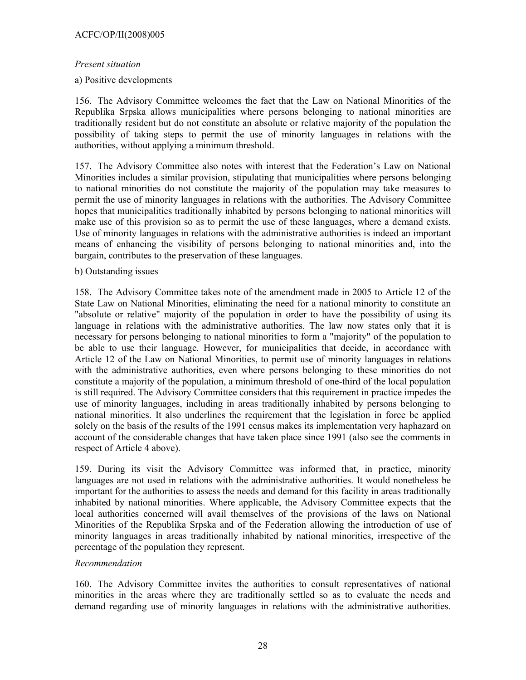### *Present situation*

### a) Positive developments

156. The Advisory Committee welcomes the fact that the Law on National Minorities of the Republika Srpska allows municipalities where persons belonging to national minorities are traditionally resident but do not constitute an absolute or relative majority of the population the possibility of taking steps to permit the use of minority languages in relations with the authorities, without applying a minimum threshold.

157. The Advisory Committee also notes with interest that the Federation's Law on National Minorities includes a similar provision, stipulating that municipalities where persons belonging to national minorities do not constitute the majority of the population may take measures to permit the use of minority languages in relations with the authorities. The Advisory Committee hopes that municipalities traditionally inhabited by persons belonging to national minorities will make use of this provision so as to permit the use of these languages, where a demand exists. Use of minority languages in relations with the administrative authorities is indeed an important means of enhancing the visibility of persons belonging to national minorities and, into the bargain, contributes to the preservation of these languages.

### b) Outstanding issues

158. The Advisory Committee takes note of the amendment made in 2005 to Article 12 of the State Law on National Minorities, eliminating the need for a national minority to constitute an "absolute or relative" majority of the population in order to have the possibility of using its language in relations with the administrative authorities. The law now states only that it is necessary for persons belonging to national minorities to form a "majority" of the population to be able to use their language. However, for municipalities that decide, in accordance with Article 12 of the Law on National Minorities, to permit use of minority languages in relations with the administrative authorities, even where persons belonging to these minorities do not constitute a majority of the population, a minimum threshold of one-third of the local population is still required. The Advisory Committee considers that this requirement in practice impedes the use of minority languages, including in areas traditionally inhabited by persons belonging to national minorities. It also underlines the requirement that the legislation in force be applied solely on the basis of the results of the 1991 census makes its implementation very haphazard on account of the considerable changes that have taken place since 1991 (also see the comments in respect of Article 4 above).

159. During its visit the Advisory Committee was informed that, in practice, minority languages are not used in relations with the administrative authorities. It would nonetheless be important for the authorities to assess the needs and demand for this facility in areas traditionally inhabited by national minorities. Where applicable, the Advisory Committee expects that the local authorities concerned will avail themselves of the provisions of the laws on National Minorities of the Republika Srpska and of the Federation allowing the introduction of use of minority languages in areas traditionally inhabited by national minorities, irrespective of the percentage of the population they represent.

## *Recommendation*

160. The Advisory Committee invites the authorities to consult representatives of national minorities in the areas where they are traditionally settled so as to evaluate the needs and demand regarding use of minority languages in relations with the administrative authorities.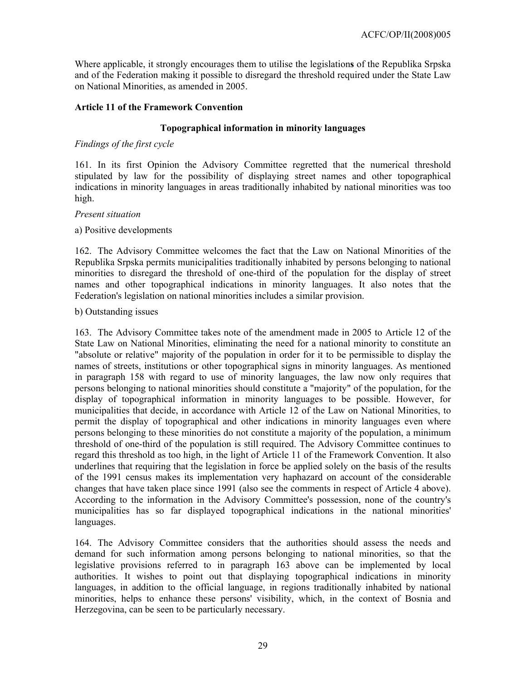Where applicable, it strongly encourages them to utilise the legislation**s** of the Republika Srpska and of the Federation making it possible to disregard the threshold required under the State Law on National Minorities, as amended in 2005.

### **Article 11 of the Framework Convention**

### **Topographical information in minority languages**

### *Findings of the first cycle*

161. In its first Opinion the Advisory Committee regretted that the numerical threshold stipulated by law for the possibility of displaying street names and other topographical indications in minority languages in areas traditionally inhabited by national minorities was too high.

#### *Present situation*

### a) Positive developments

162. The Advisory Committee welcomes the fact that the Law on National Minorities of the Republika Srpska permits municipalities traditionally inhabited by persons belonging to national minorities to disregard the threshold of one-third of the population for the display of street names and other topographical indications in minority languages. It also notes that the Federation's legislation on national minorities includes a similar provision.

#### b) Outstanding issues

163. The Advisory Committee takes note of the amendment made in 2005 to Article 12 of the State Law on National Minorities, eliminating the need for a national minority to constitute an "absolute or relative" majority of the population in order for it to be permissible to display the names of streets, institutions or other topographical signs in minority languages. As mentioned in paragraph 158 with regard to use of minority languages, the law now only requires that persons belonging to national minorities should constitute a "majority" of the population, for the display of topographical information in minority languages to be possible. However, for municipalities that decide, in accordance with Article 12 of the Law on National Minorities, to permit the display of topographical and other indications in minority languages even where persons belonging to these minorities do not constitute a majority of the population, a minimum threshold of one-third of the population is still required. The Advisory Committee continues to regard this threshold as too high, in the light of Article 11 of the Framework Convention. It also underlines that requiring that the legislation in force be applied solely on the basis of the results of the 1991 census makes its implementation very haphazard on account of the considerable changes that have taken place since 1991 (also see the comments in respect of Article 4 above). According to the information in the Advisory Committee's possession, none of the country's municipalities has so far displayed topographical indications in the national minorities' languages.

164. The Advisory Committee considers that the authorities should assess the needs and demand for such information among persons belonging to national minorities, so that the legislative provisions referred to in paragraph 163 above can be implemented by local authorities. It wishes to point out that displaying topographical indications in minority languages, in addition to the official language, in regions traditionally inhabited by national minorities, helps to enhance these persons' visibility, which, in the context of Bosnia and Herzegovina, can be seen to be particularly necessary.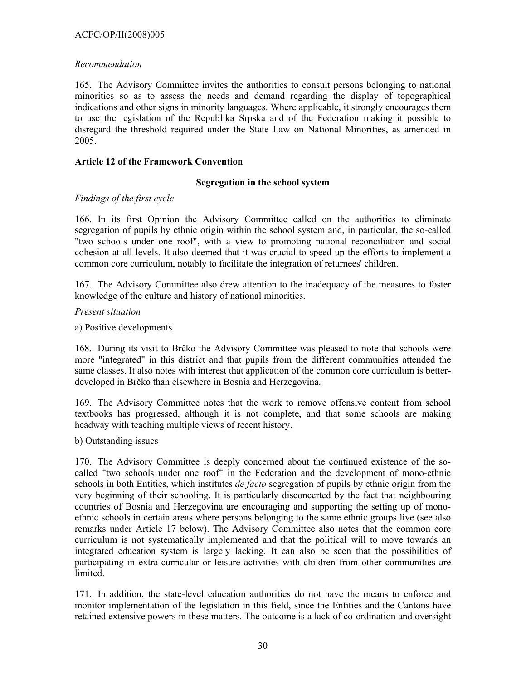### ACFC/OP/II(2008)005

### *Recommendation*

165. The Advisory Committee invites the authorities to consult persons belonging to national minorities so as to assess the needs and demand regarding the display of topographical indications and other signs in minority languages. Where applicable, it strongly encourages them to use the legislation of the Republika Srpska and of the Federation making it possible to disregard the threshold required under the State Law on National Minorities, as amended in 2005.

### **Article 12 of the Framework Convention**

### **Segregation in the school system**

## *Findings of the first cycle*

166. In its first Opinion the Advisory Committee called on the authorities to eliminate segregation of pupils by ethnic origin within the school system and, in particular, the so-called "two schools under one roof", with a view to promoting national reconciliation and social cohesion at all levels. It also deemed that it was crucial to speed up the efforts to implement a common core curriculum, notably to facilitate the integration of returnees' children.

167. The Advisory Committee also drew attention to the inadequacy of the measures to foster knowledge of the culture and history of national minorities.

### *Present situation*

## a) Positive developments

168. During its visit to Brčko the Advisory Committee was pleased to note that schools were more "integrated" in this district and that pupils from the different communities attended the same classes. It also notes with interest that application of the common core curriculum is betterdeveloped in Brčko than elsewhere in Bosnia and Herzegovina.

169. The Advisory Committee notes that the work to remove offensive content from school textbooks has progressed, although it is not complete, and that some schools are making headway with teaching multiple views of recent history.

#### b) Outstanding issues

170. The Advisory Committee is deeply concerned about the continued existence of the socalled "two schools under one roof" in the Federation and the development of mono-ethnic schools in both Entities, which institutes *de facto* segregation of pupils by ethnic origin from the very beginning of their schooling. It is particularly disconcerted by the fact that neighbouring countries of Bosnia and Herzegovina are encouraging and supporting the setting up of monoethnic schools in certain areas where persons belonging to the same ethnic groups live (see also remarks under Article 17 below). The Advisory Committee also notes that the common core curriculum is not systematically implemented and that the political will to move towards an integrated education system is largely lacking. It can also be seen that the possibilities of participating in extra-curricular or leisure activities with children from other communities are **limited** 

171. In addition, the state-level education authorities do not have the means to enforce and monitor implementation of the legislation in this field, since the Entities and the Cantons have retained extensive powers in these matters. The outcome is a lack of co-ordination and oversight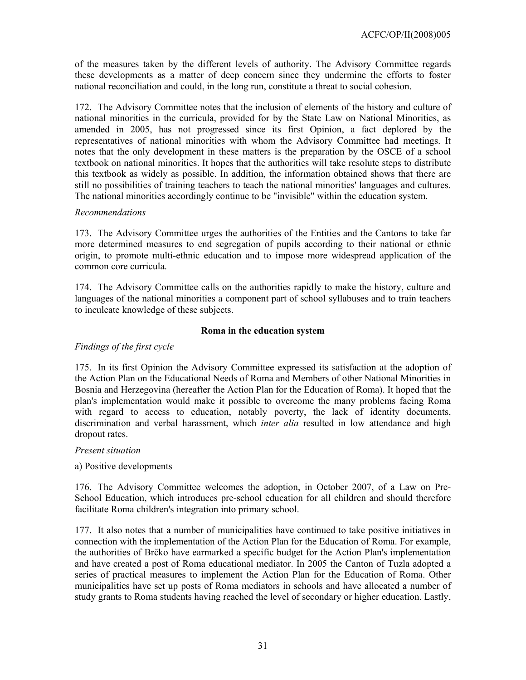of the measures taken by the different levels of authority. The Advisory Committee regards these developments as a matter of deep concern since they undermine the efforts to foster national reconciliation and could, in the long run, constitute a threat to social cohesion.

172. The Advisory Committee notes that the inclusion of elements of the history and culture of national minorities in the curricula, provided for by the State Law on National Minorities, as amended in 2005, has not progressed since its first Opinion, a fact deplored by the representatives of national minorities with whom the Advisory Committee had meetings. It notes that the only development in these matters is the preparation by the OSCE of a school textbook on national minorities. It hopes that the authorities will take resolute steps to distribute this textbook as widely as possible. In addition, the information obtained shows that there are still no possibilities of training teachers to teach the national minorities' languages and cultures. The national minorities accordingly continue to be "invisible" within the education system.

## *Recommendations*

173. The Advisory Committee urges the authorities of the Entities and the Cantons to take far more determined measures to end segregation of pupils according to their national or ethnic origin, to promote multi-ethnic education and to impose more widespread application of the common core curricula.

174. The Advisory Committee calls on the authorities rapidly to make the history, culture and languages of the national minorities a component part of school syllabuses and to train teachers to inculcate knowledge of these subjects.

### **Roma in the education system**

## *Findings of the first cycle*

175. In its first Opinion the Advisory Committee expressed its satisfaction at the adoption of the Action Plan on the Educational Needs of Roma and Members of other National Minorities in Bosnia and Herzegovina (hereafter the Action Plan for the Education of Roma). It hoped that the plan's implementation would make it possible to overcome the many problems facing Roma with regard to access to education, notably poverty, the lack of identity documents, discrimination and verbal harassment, which *inter alia* resulted in low attendance and high dropout rates.

#### *Present situation*

## a) Positive developments

176. The Advisory Committee welcomes the adoption, in October 2007, of a Law on Pre-School Education, which introduces pre-school education for all children and should therefore facilitate Roma children's integration into primary school.

177. It also notes that a number of municipalities have continued to take positive initiatives in connection with the implementation of the Action Plan for the Education of Roma. For example, the authorities of Brčko have earmarked a specific budget for the Action Plan's implementation and have created a post of Roma educational mediator. In 2005 the Canton of Tuzla adopted a series of practical measures to implement the Action Plan for the Education of Roma. Other municipalities have set up posts of Roma mediators in schools and have allocated a number of study grants to Roma students having reached the level of secondary or higher education. Lastly,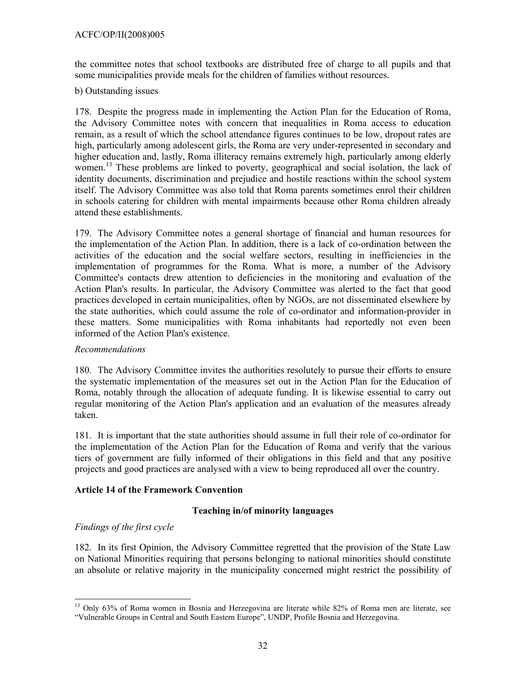the committee notes that school textbooks are distributed free of charge to all pupils and that some municipalities provide meals for the children of families without resources.

### b) Outstanding issues

178. Despite the progress made in implementing the Action Plan for the Education of Roma, the Advisory Committee notes with concern that inequalities in Roma access to education remain, as a result of which the school attendance figures continues to be low, dropout rates are high, particularly among adolescent girls, the Roma are very under-represented in secondary and higher education and, lastly, Roma illiteracy remains extremely high, particularly among elderly women.<sup>13</sup> These problems are linked to poverty, geographical and social isolation, the lack of identity documents, discrimination and prejudice and hostile reactions within the school system itself. The Advisory Committee was also told that Roma parents sometimes enrol their children in schools catering for children with mental impairments because other Roma children already attend these establishments.

179. The Advisory Committee notes a general shortage of financial and human resources for the implementation of the Action Plan. In addition, there is a lack of co-ordination between the activities of the education and the social welfare sectors, resulting in inefficiencies in the implementation of programmes for the Roma. What is more, a number of the Advisory Committee's contacts drew attention to deficiencies in the monitoring and evaluation of the Action Plan's results. In particular, the Advisory Committee was alerted to the fact that good practices developed in certain municipalities, often by NGOs, are not disseminated elsewhere by the state authorities, which could assume the role of co-ordinator and information-provider in these matters. Some municipalities with Roma inhabitants had reportedly not even been informed of the Action Plan's existence.

## *Recommendations*

180. The Advisory Committee invites the authorities resolutely to pursue their efforts to ensure the systematic implementation of the measures set out in the Action Plan for the Education of Roma, notably through the allocation of adequate funding. It is likewise essential to carry out regular monitoring of the Action Plan's application and an evaluation of the measures already taken.

181. It is important that the state authorities should assume in full their role of co-ordinator for the implementation of the Action Plan for the Education of Roma and verify that the various tiers of government are fully informed of their obligations in this field and that any positive projects and good practices are analysed with a view to being reproduced all over the country.

## **Article 14 of the Framework Convention**

## **Teaching in/of minority languages**

## *Findings of the first cycle*

 $\overline{a}$ 

182. In its first Opinion, the Advisory Committee regretted that the provision of the State Law on National Minorities requiring that persons belonging to national minorities should constitute an absolute or relative majority in the municipality concerned might restrict the possibility of

<sup>&</sup>lt;sup>13</sup> Only 63% of Roma women in Bosnia and Herzegovina are literate while 82% of Roma men are literate, see "Vulnerable Groups in Central and South Eastern Europe", UNDP, Profile Bosnia and Herzegovina.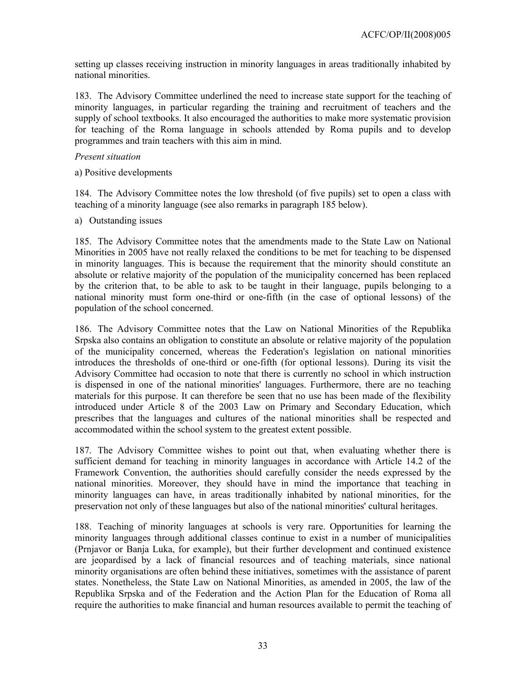setting up classes receiving instruction in minority languages in areas traditionally inhabited by national minorities.

183. The Advisory Committee underlined the need to increase state support for the teaching of minority languages, in particular regarding the training and recruitment of teachers and the supply of school textbooks. It also encouraged the authorities to make more systematic provision for teaching of the Roma language in schools attended by Roma pupils and to develop programmes and train teachers with this aim in mind.

### *Present situation*

a) Positive developments

184. The Advisory Committee notes the low threshold (of five pupils) set to open a class with teaching of a minority language (see also remarks in paragraph 185 below).

a) Outstanding issues

185. The Advisory Committee notes that the amendments made to the State Law on National Minorities in 2005 have not really relaxed the conditions to be met for teaching to be dispensed in minority languages. This is because the requirement that the minority should constitute an absolute or relative majority of the population of the municipality concerned has been replaced by the criterion that, to be able to ask to be taught in their language, pupils belonging to a national minority must form one-third or one-fifth (in the case of optional lessons) of the population of the school concerned.

186. The Advisory Committee notes that the Law on National Minorities of the Republika Srpska also contains an obligation to constitute an absolute or relative majority of the population of the municipality concerned, whereas the Federation's legislation on national minorities introduces the thresholds of one-third or one-fifth (for optional lessons). During its visit the Advisory Committee had occasion to note that there is currently no school in which instruction is dispensed in one of the national minorities' languages. Furthermore, there are no teaching materials for this purpose. It can therefore be seen that no use has been made of the flexibility introduced under Article 8 of the 2003 Law on Primary and Secondary Education, which prescribes that the languages and cultures of the national minorities shall be respected and accommodated within the school system to the greatest extent possible.

187. The Advisory Committee wishes to point out that, when evaluating whether there is sufficient demand for teaching in minority languages in accordance with Article 14.2 of the Framework Convention, the authorities should carefully consider the needs expressed by the national minorities. Moreover, they should have in mind the importance that teaching in minority languages can have, in areas traditionally inhabited by national minorities, for the preservation not only of these languages but also of the national minorities' cultural heritages.

188. Teaching of minority languages at schools is very rare. Opportunities for learning the minority languages through additional classes continue to exist in a number of municipalities (Prnjavor or Banja Luka, for example), but their further development and continued existence are jeopardised by a lack of financial resources and of teaching materials, since national minority organisations are often behind these initiatives, sometimes with the assistance of parent states. Nonetheless, the State Law on National Minorities, as amended in 2005, the law of the Republika Srpska and of the Federation and the Action Plan for the Education of Roma all require the authorities to make financial and human resources available to permit the teaching of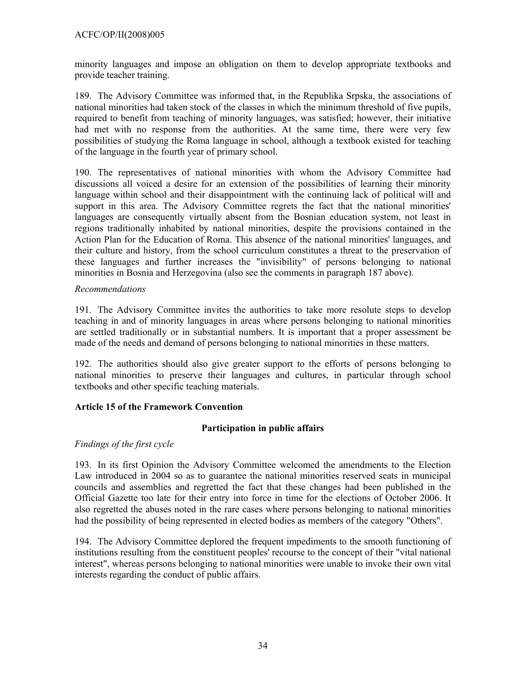minority languages and impose an obligation on them to develop appropriate textbooks and provide teacher training.

189. The Advisory Committee was informed that, in the Republika Srpska, the associations of national minorities had taken stock of the classes in which the minimum threshold of five pupils, required to benefit from teaching of minority languages, was satisfied; however, their initiative had met with no response from the authorities. At the same time, there were very few possibilities of studying the Roma language in school, although a textbook existed for teaching of the language in the fourth year of primary school.

190. The representatives of national minorities with whom the Advisory Committee had discussions all voiced a desire for an extension of the possibilities of learning their minority language within school and their disappointment with the continuing lack of political will and support in this area. The Advisory Committee regrets the fact that the national minorities' languages are consequently virtually absent from the Bosnian education system, not least in regions traditionally inhabited by national minorities, despite the provisions contained in the Action Plan for the Education of Roma. This absence of the national minorities' languages, and their culture and history, from the school curriculum constitutes a threat to the preservation of these languages and further increases the "invisibility" of persons belonging to national minorities in Bosnia and Herzegovina (also see the comments in paragraph 187 above).

## *Recommendations*

191. The Advisory Committee invites the authorities to take more resolute steps to develop teaching in and of minority languages in areas where persons belonging to national minorities are settled traditionally or in substantial numbers. It is important that a proper assessment be made of the needs and demand of persons belonging to national minorities in these matters.

192. The authorities should also give greater support to the efforts of persons belonging to national minorities to preserve their languages and cultures, in particular through school textbooks and other specific teaching materials.

# **Article 15 of the Framework Convention**

# **Participation in public affairs**

# *Findings of the first cycle*

193. In its first Opinion the Advisory Committee welcomed the amendments to the Election Law introduced in 2004 so as to guarantee the national minorities reserved seats in municipal councils and assemblies and regretted the fact that these changes had been published in the Official Gazette too late for their entry into force in time for the elections of October 2006. It also regretted the abuses noted in the rare cases where persons belonging to national minorities had the possibility of being represented in elected bodies as members of the category "Others".

194. The Advisory Committee deplored the frequent impediments to the smooth functioning of institutions resulting from the constituent peoples' recourse to the concept of their "vital national interest", whereas persons belonging to national minorities were unable to invoke their own vital interests regarding the conduct of public affairs.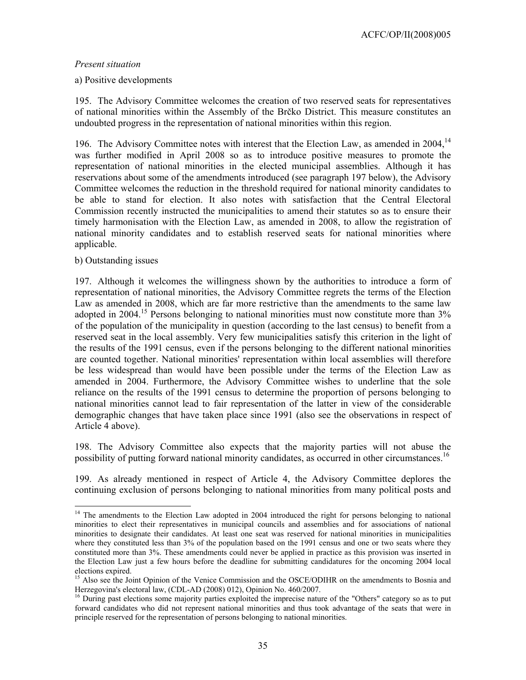ACFC/OP/II(2008)005

#### *Present situation*

#### a) Positive developments

195. The Advisory Committee welcomes the creation of two reserved seats for representatives of national minorities within the Assembly of the Brčko District. This measure constitutes an undoubted progress in the representation of national minorities within this region.

196. The Advisory Committee notes with interest that the Election Law, as amended in 2004,  $14$ was further modified in April 2008 so as to introduce positive measures to promote the representation of national minorities in the elected municipal assemblies. Although it has reservations about some of the amendments introduced (see paragraph 197 below), the Advisory Committee welcomes the reduction in the threshold required for national minority candidates to be able to stand for election. It also notes with satisfaction that the Central Electoral Commission recently instructed the municipalities to amend their statutes so as to ensure their timely harmonisation with the Election Law, as amended in 2008, to allow the registration of national minority candidates and to establish reserved seats for national minorities where applicable.

#### b) Outstanding issues

l

197. Although it welcomes the willingness shown by the authorities to introduce a form of representation of national minorities, the Advisory Committee regrets the terms of the Election Law as amended in 2008, which are far more restrictive than the amendments to the same law adopted in 2004.<sup>15</sup> Persons belonging to national minorities must now constitute more than 3% of the population of the municipality in question (according to the last census) to benefit from a reserved seat in the local assembly. Very few municipalities satisfy this criterion in the light of the results of the 1991 census, even if the persons belonging to the different national minorities are counted together. National minorities' representation within local assemblies will therefore be less widespread than would have been possible under the terms of the Election Law as amended in 2004. Furthermore, the Advisory Committee wishes to underline that the sole reliance on the results of the 1991 census to determine the proportion of persons belonging to national minorities cannot lead to fair representation of the latter in view of the considerable demographic changes that have taken place since 1991 (also see the observations in respect of Article 4 above).

198. The Advisory Committee also expects that the majority parties will not abuse the possibility of putting forward national minority candidates, as occurred in other circumstances.16

199. As already mentioned in respect of Article 4, the Advisory Committee deplores the continuing exclusion of persons belonging to national minorities from many political posts and

<sup>&</sup>lt;sup>14</sup> The amendments to the Election Law adopted in 2004 introduced the right for persons belonging to national minorities to elect their representatives in municipal councils and assemblies and for associations of national minorities to designate their candidates. At least one seat was reserved for national minorities in municipalities where they constituted less than 3% of the population based on the 1991 census and one or two seats where they constituted more than 3%. These amendments could never be applied in practice as this provision was inserted in the Election Law just a few hours before the deadline for submitting candidatures for the oncoming 2004 local elections expired.

<sup>&</sup>lt;sup>15</sup> Also see the Joint Opinion of the Venice Commission and the OSCE/ODIHR on the amendments to Bosnia and Herzegovina's electoral law, (CDL-AD (2008) 012), Opinion No. 460/2007.

<sup>&</sup>lt;sup>16</sup> During past elections some majority parties exploited the imprecise nature of the "Others" category so as to put forward candidates who did not represent national minorities and thus took advantage of the seats that were in principle reserved for the representation of persons belonging to national minorities.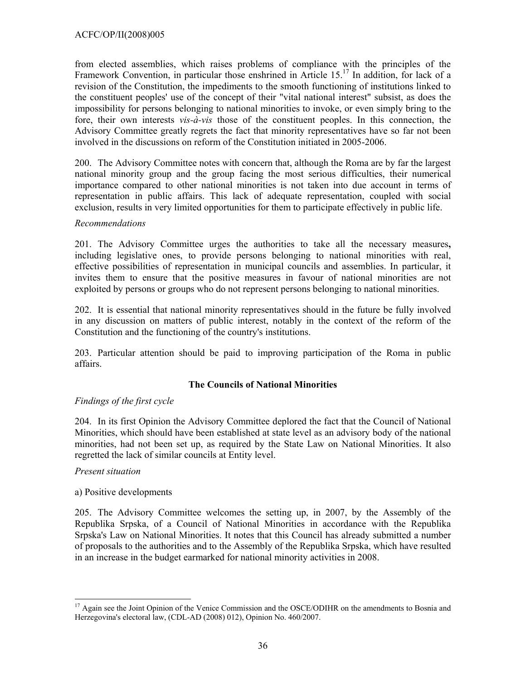from elected assemblies, which raises problems of compliance with the principles of the Framework Convention, in particular those enshrined in Article  $15<sup>17</sup>$  In addition, for lack of a revision of the Constitution, the impediments to the smooth functioning of institutions linked to the constituent peoples' use of the concept of their "vital national interest" subsist, as does the impossibility for persons belonging to national minorities to invoke, or even simply bring to the fore, their own interests *vis-à-vis* those of the constituent peoples. In this connection, the Advisory Committee greatly regrets the fact that minority representatives have so far not been involved in the discussions on reform of the Constitution initiated in 2005-2006.

200. The Advisory Committee notes with concern that, although the Roma are by far the largest national minority group and the group facing the most serious difficulties, their numerical importance compared to other national minorities is not taken into due account in terms of representation in public affairs. This lack of adequate representation, coupled with social exclusion, results in very limited opportunities for them to participate effectively in public life.

### *Recommendations*

201. The Advisory Committee urges the authorities to take all the necessary measures**,**  including legislative ones, to provide persons belonging to national minorities with real, effective possibilities of representation in municipal councils and assemblies. In particular, it invites them to ensure that the positive measures in favour of national minorities are not exploited by persons or groups who do not represent persons belonging to national minorities.

202. It is essential that national minority representatives should in the future be fully involved in any discussion on matters of public interest, notably in the context of the reform of the Constitution and the functioning of the country's institutions.

203. Particular attention should be paid to improving participation of the Roma in public affairs.

## **The Councils of National Minorities**

## *Findings of the first cycle*

204. In its first Opinion the Advisory Committee deplored the fact that the Council of National Minorities, which should have been established at state level as an advisory body of the national minorities, had not been set up, as required by the State Law on National Minorities. It also regretted the lack of similar councils at Entity level.

#### *Present situation*

 $\overline{a}$ 

## a) Positive developments

205. The Advisory Committee welcomes the setting up, in 2007, by the Assembly of the Republika Srpska, of a Council of National Minorities in accordance with the Republika Srpska's Law on National Minorities. It notes that this Council has already submitted a number of proposals to the authorities and to the Assembly of the Republika Srpska, which have resulted in an increase in the budget earmarked for national minority activities in 2008.

<sup>&</sup>lt;sup>17</sup> Again see the Joint Opinion of the Venice Commission and the OSCE/ODIHR on the amendments to Bosnia and Herzegovina's electoral law, (CDL-AD (2008) 012), Opinion No. 460/2007.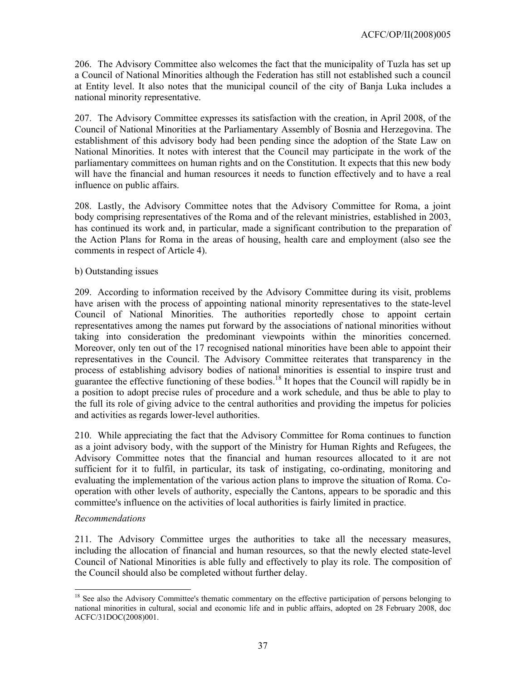206. The Advisory Committee also welcomes the fact that the municipality of Tuzla has set up a Council of National Minorities although the Federation has still not established such a council at Entity level. It also notes that the municipal council of the city of Banja Luka includes a national minority representative.

207. The Advisory Committee expresses its satisfaction with the creation, in April 2008, of the Council of National Minorities at the Parliamentary Assembly of Bosnia and Herzegovina. The establishment of this advisory body had been pending since the adoption of the State Law on National Minorities. It notes with interest that the Council may participate in the work of the parliamentary committees on human rights and on the Constitution. It expects that this new body will have the financial and human resources it needs to function effectively and to have a real influence on public affairs.

208. Lastly, the Advisory Committee notes that the Advisory Committee for Roma, a joint body comprising representatives of the Roma and of the relevant ministries, established in 2003, has continued its work and, in particular, made a significant contribution to the preparation of the Action Plans for Roma in the areas of housing, health care and employment (also see the comments in respect of Article 4).

### b) Outstanding issues

209. According to information received by the Advisory Committee during its visit, problems have arisen with the process of appointing national minority representatives to the state-level Council of National Minorities. The authorities reportedly chose to appoint certain representatives among the names put forward by the associations of national minorities without taking into consideration the predominant viewpoints within the minorities concerned. Moreover, only ten out of the 17 recognised national minorities have been able to appoint their representatives in the Council. The Advisory Committee reiterates that transparency in the process of establishing advisory bodies of national minorities is essential to inspire trust and guarantee the effective functioning of these bodies.<sup>18</sup> It hopes that the Council will rapidly be in a position to adopt precise rules of procedure and a work schedule, and thus be able to play to the full its role of giving advice to the central authorities and providing the impetus for policies and activities as regards lower-level authorities.

210. While appreciating the fact that the Advisory Committee for Roma continues to function as a joint advisory body, with the support of the Ministry for Human Rights and Refugees, the Advisory Committee notes that the financial and human resources allocated to it are not sufficient for it to fulfil, in particular, its task of instigating, co-ordinating, monitoring and evaluating the implementation of the various action plans to improve the situation of Roma. Cooperation with other levels of authority, especially the Cantons, appears to be sporadic and this committee's influence on the activities of local authorities is fairly limited in practice.

## *Recommendations*

211. The Advisory Committee urges the authorities to take all the necessary measures, including the allocation of financial and human resources, so that the newly elected state-level Council of National Minorities is able fully and effectively to play its role. The composition of the Council should also be completed without further delay.

 $\overline{a}$ <sup>18</sup> See also the Advisory Committee's thematic commentary on the effective participation of persons belonging to national minorities in cultural, social and economic life and in public affairs, adopted on 28 February 2008, doc ACFC/31DOC(2008)001.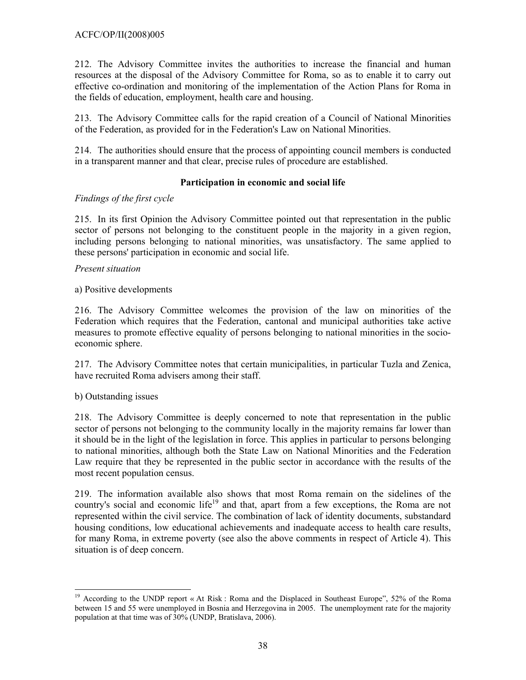212. The Advisory Committee invites the authorities to increase the financial and human resources at the disposal of the Advisory Committee for Roma, so as to enable it to carry out effective co-ordination and monitoring of the implementation of the Action Plans for Roma in the fields of education, employment, health care and housing.

213. The Advisory Committee calls for the rapid creation of a Council of National Minorities of the Federation, as provided for in the Federation's Law on National Minorities.

214. The authorities should ensure that the process of appointing council members is conducted in a transparent manner and that clear, precise rules of procedure are established.

## **Participation in economic and social life**

## *Findings of the first cycle*

215. In its first Opinion the Advisory Committee pointed out that representation in the public sector of persons not belonging to the constituent people in the majority in a given region, including persons belonging to national minorities, was unsatisfactory. The same applied to these persons' participation in economic and social life.

#### *Present situation*

a) Positive developments

216. The Advisory Committee welcomes the provision of the law on minorities of the Federation which requires that the Federation, cantonal and municipal authorities take active measures to promote effective equality of persons belonging to national minorities in the socioeconomic sphere.

217. The Advisory Committee notes that certain municipalities, in particular Tuzla and Zenica, have recruited Roma advisers among their staff.

## b) Outstanding issues

218. The Advisory Committee is deeply concerned to note that representation in the public sector of persons not belonging to the community locally in the majority remains far lower than it should be in the light of the legislation in force. This applies in particular to persons belonging to national minorities, although both the State Law on National Minorities and the Federation Law require that they be represented in the public sector in accordance with the results of the most recent population census.

219. The information available also shows that most Roma remain on the sidelines of the country's social and economic life<sup>19</sup> and that, apart from a few exceptions, the Roma are not represented within the civil service. The combination of lack of identity documents, substandard housing conditions, low educational achievements and inadequate access to health care results, for many Roma, in extreme poverty (see also the above comments in respect of Article 4). This situation is of deep concern.

 $\overline{a}$ <sup>19</sup> According to the UNDP report « At Risk : Roma and the Displaced in Southeast Europe", 52% of the Roma between 15 and 55 were unemployed in Bosnia and Herzegovina in 2005. The unemployment rate for the majority population at that time was of 30% (UNDP, Bratislava, 2006).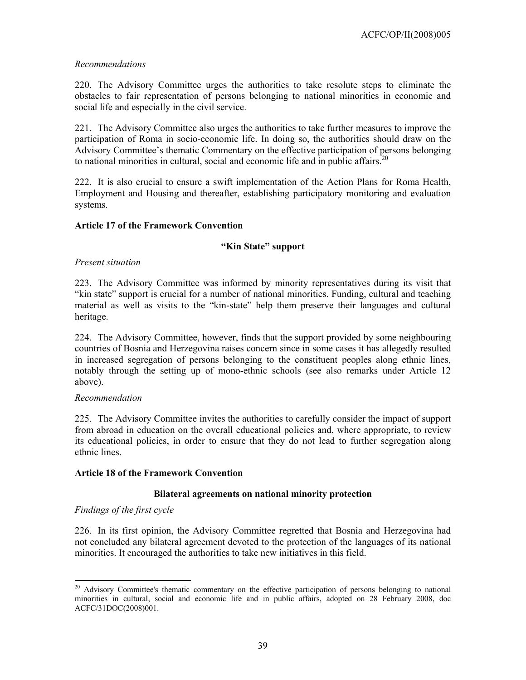## *Recommendations*

220. The Advisory Committee urges the authorities to take resolute steps to eliminate the obstacles to fair representation of persons belonging to national minorities in economic and social life and especially in the civil service.

221. The Advisory Committee also urges the authorities to take further measures to improve the participation of Roma in socio-economic life. In doing so, the authorities should draw on the Advisory Committee's thematic Commentary on the effective participation of persons belonging to national minorities in cultural, social and economic life and in public affairs.<sup>20</sup>

222. It is also crucial to ensure a swift implementation of the Action Plans for Roma Health, Employment and Housing and thereafter, establishing participatory monitoring and evaluation systems.

## **Article 17 of the Framework Convention**

## **"Kin State" support**

### *Present situation*

223. The Advisory Committee was informed by minority representatives during its visit that "kin state" support is crucial for a number of national minorities. Funding, cultural and teaching material as well as visits to the "kin-state" help them preserve their languages and cultural heritage.

224. The Advisory Committee, however, finds that the support provided by some neighbouring countries of Bosnia and Herzegovina raises concern since in some cases it has allegedly resulted in increased segregation of persons belonging to the constituent peoples along ethnic lines, notably through the setting up of mono-ethnic schools (see also remarks under Article 12 above).

#### *Recommendation*

225. The Advisory Committee invites the authorities to carefully consider the impact of support from abroad in education on the overall educational policies and, where appropriate, to review its educational policies, in order to ensure that they do not lead to further segregation along ethnic lines.

#### **Article 18 of the Framework Convention**

## **Bilateral agreements on national minority protection**

## *Findings of the first cycle*

226. In its first opinion, the Advisory Committee regretted that Bosnia and Herzegovina had not concluded any bilateral agreement devoted to the protection of the languages of its national minorities. It encouraged the authorities to take new initiatives in this field.

 $\overline{\phantom{a}}$ <sup>20</sup> Advisory Committee's thematic commentary on the effective participation of persons belonging to national minorities in cultural, social and economic life and in public affairs, adopted on 28 February 2008, doc ACFC/31DOC(2008)001.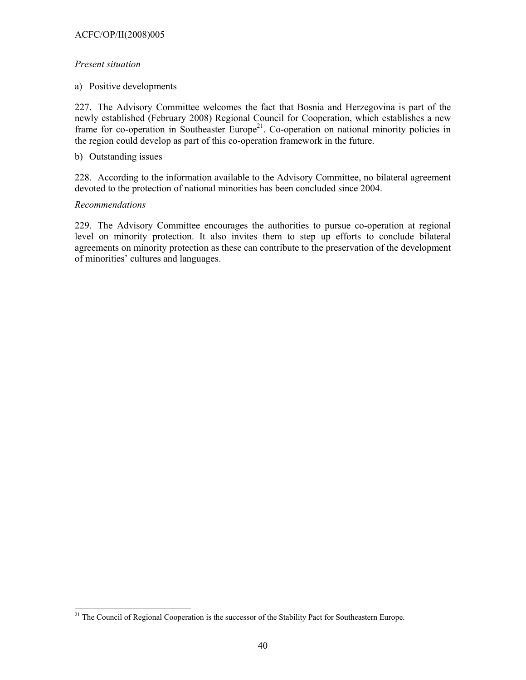## ACFC/OP/II(2008)005

## *Present situation*

a) Positive developments

227. The Advisory Committee welcomes the fact that Bosnia and Herzegovina is part of the newly established (February 2008) Regional Council for Cooperation, which establishes a new frame for co-operation in Southeaster Europe<sup>21</sup>. Co-operation on national minority policies in the region could develop as part of this co-operation framework in the future.

b) Outstanding issues

228. According to the information available to the Advisory Committee, no bilateral agreement devoted to the protection of national minorities has been concluded since 2004.

## *Recommendations*

 $\overline{a}$ 

229. The Advisory Committee encourages the authorities to pursue co-operation at regional level on minority protection. It also invites them to step up efforts to conclude bilateral agreements on minority protection as these can contribute to the preservation of the development of minorities' cultures and languages.

<sup>&</sup>lt;sup>21</sup> The Council of Regional Cooperation is the successor of the Stability Pact for Southeastern Europe.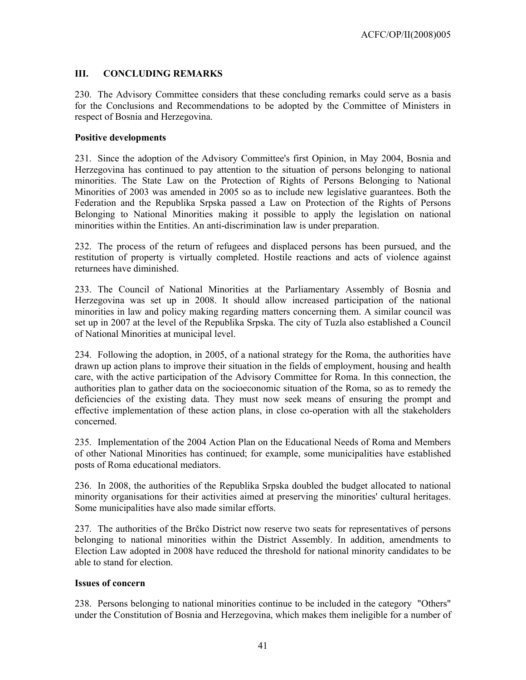# **III. CONCLUDING REMARKS**

230. The Advisory Committee considers that these concluding remarks could serve as a basis for the Conclusions and Recommendations to be adopted by the Committee of Ministers in respect of Bosnia and Herzegovina.

## **Positive developments**

231. Since the adoption of the Advisory Committee's first Opinion, in May 2004, Bosnia and Herzegovina has continued to pay attention to the situation of persons belonging to national minorities. The State Law on the Protection of Rights of Persons Belonging to National Minorities of 2003 was amended in 2005 so as to include new legislative guarantees. Both the Federation and the Republika Srpska passed a Law on Protection of the Rights of Persons Belonging to National Minorities making it possible to apply the legislation on national minorities within the Entities. An anti-discrimination law is under preparation.

232. The process of the return of refugees and displaced persons has been pursued, and the restitution of property is virtually completed. Hostile reactions and acts of violence against returnees have diminished.

233. The Council of National Minorities at the Parliamentary Assembly of Bosnia and Herzegovina was set up in 2008. It should allow increased participation of the national minorities in law and policy making regarding matters concerning them. A similar council was set up in 2007 at the level of the Republika Srpska. The city of Tuzla also established a Council of National Minorities at municipal level.

234. Following the adoption, in 2005, of a national strategy for the Roma, the authorities have drawn up action plans to improve their situation in the fields of employment, housing and health care, with the active participation of the Advisory Committee for Roma. In this connection, the authorities plan to gather data on the socioeconomic situation of the Roma, so as to remedy the deficiencies of the existing data. They must now seek means of ensuring the prompt and effective implementation of these action plans, in close co-operation with all the stakeholders concerned.

235. Implementation of the 2004 Action Plan on the Educational Needs of Roma and Members of other National Minorities has continued; for example, some municipalities have established posts of Roma educational mediators.

236. In 2008, the authorities of the Republika Srpska doubled the budget allocated to national minority organisations for their activities aimed at preserving the minorities' cultural heritages. Some municipalities have also made similar efforts.

237. The authorities of the Brčko District now reserve two seats for representatives of persons belonging to national minorities within the District Assembly. In addition, amendments to Election Law adopted in 2008 have reduced the threshold for national minority candidates to be able to stand for election.

## **Issues of concern**

238. Persons belonging to national minorities continue to be included in the category "Others" under the Constitution of Bosnia and Herzegovina, which makes them ineligible for a number of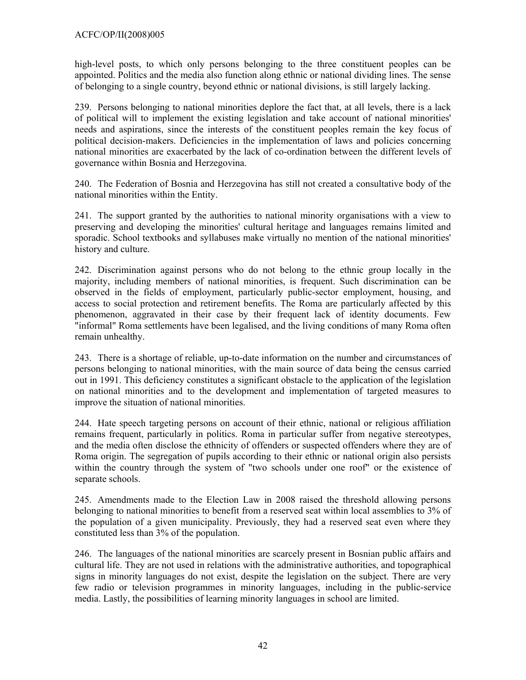high-level posts, to which only persons belonging to the three constituent peoples can be appointed. Politics and the media also function along ethnic or national dividing lines. The sense of belonging to a single country, beyond ethnic or national divisions, is still largely lacking.

239. Persons belonging to national minorities deplore the fact that, at all levels, there is a lack of political will to implement the existing legislation and take account of national minorities' needs and aspirations, since the interests of the constituent peoples remain the key focus of political decision-makers. Deficiencies in the implementation of laws and policies concerning national minorities are exacerbated by the lack of co-ordination between the different levels of governance within Bosnia and Herzegovina.

240. The Federation of Bosnia and Herzegovina has still not created a consultative body of the national minorities within the Entity.

241. The support granted by the authorities to national minority organisations with a view to preserving and developing the minorities' cultural heritage and languages remains limited and sporadic. School textbooks and syllabuses make virtually no mention of the national minorities' history and culture.

242. Discrimination against persons who do not belong to the ethnic group locally in the majority, including members of national minorities, is frequent. Such discrimination can be observed in the fields of employment, particularly public-sector employment, housing, and access to social protection and retirement benefits. The Roma are particularly affected by this phenomenon, aggravated in their case by their frequent lack of identity documents. Few "informal" Roma settlements have been legalised, and the living conditions of many Roma often remain unhealthy.

243. There is a shortage of reliable, up-to-date information on the number and circumstances of persons belonging to national minorities, with the main source of data being the census carried out in 1991. This deficiency constitutes a significant obstacle to the application of the legislation on national minorities and to the development and implementation of targeted measures to improve the situation of national minorities.

244. Hate speech targeting persons on account of their ethnic, national or religious affiliation remains frequent, particularly in politics. Roma in particular suffer from negative stereotypes, and the media often disclose the ethnicity of offenders or suspected offenders where they are of Roma origin. The segregation of pupils according to their ethnic or national origin also persists within the country through the system of "two schools under one roof" or the existence of separate schools.

245. Amendments made to the Election Law in 2008 raised the threshold allowing persons belonging to national minorities to benefit from a reserved seat within local assemblies to 3% of the population of a given municipality. Previously, they had a reserved seat even where they constituted less than 3% of the population.

246. The languages of the national minorities are scarcely present in Bosnian public affairs and cultural life. They are not used in relations with the administrative authorities, and topographical signs in minority languages do not exist, despite the legislation on the subject. There are very few radio or television programmes in minority languages, including in the public-service media. Lastly, the possibilities of learning minority languages in school are limited.